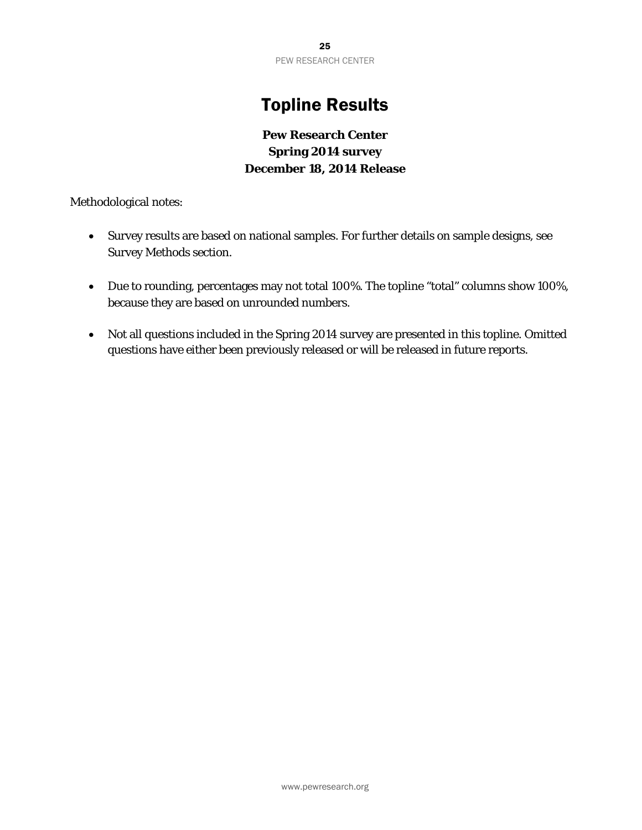25 PEW RESEARCH CENTER

## Topline Results

## **Pew Research Center Spring 2014 survey December 18, 2014 Release**

Methodological notes:

- Survey results are based on national samples. For further details on sample designs, see Survey Methods section.
- Due to rounding, percentages may not total 100%. The topline "total" columns show 100%, because they are based on unrounded numbers.
- Not all questions included in the Spring 2014 survey are presented in this topline. Omitted questions have either been previously released or will be released in future reports.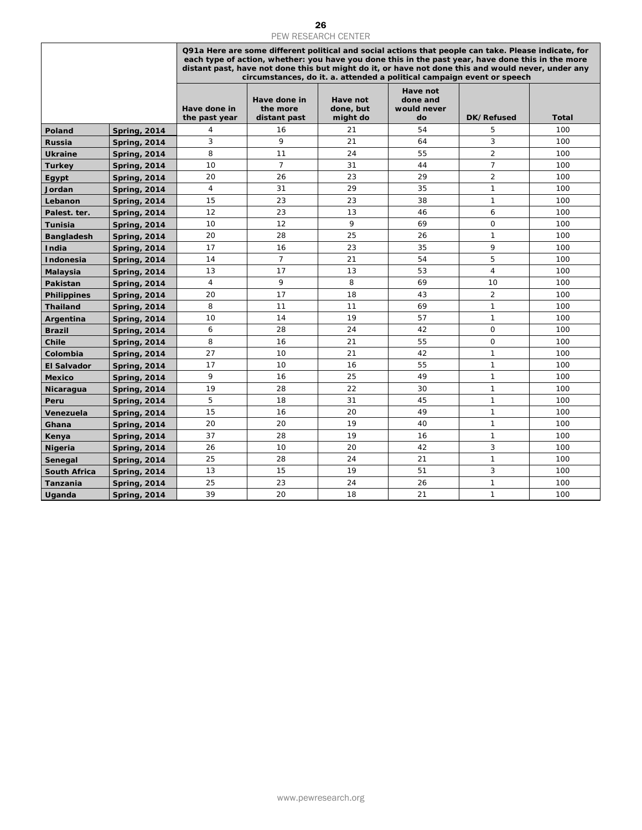|                         | 26<br><b>PEW RESEARCH CENTER</b>           |                               |                                                                                                                                                                                                                                                                                                                                                                                           |                                   |                                           |                              |              |  |  |
|-------------------------|--------------------------------------------|-------------------------------|-------------------------------------------------------------------------------------------------------------------------------------------------------------------------------------------------------------------------------------------------------------------------------------------------------------------------------------------------------------------------------------------|-----------------------------------|-------------------------------------------|------------------------------|--------------|--|--|
|                         |                                            |                               | Q91a Here are some different political and social actions that people can take. Please indicate, for<br>each type of action, whether: you have you done this in the past year, have done this in the more<br>distant past, have not done this but might do it, or have not done this and would never, under any<br>circumstances, do it. a. attended a political campaign event or speech |                                   |                                           |                              |              |  |  |
|                         |                                            | Have done in<br>the past year | Have done in<br>the more<br>distant past                                                                                                                                                                                                                                                                                                                                                  | Have not<br>done, but<br>might do | Have not<br>done and<br>would never<br>do | DK/Refused                   | <b>Total</b> |  |  |
| Poland                  | <b>Spring, 2014</b>                        | $\overline{4}$                | 16                                                                                                                                                                                                                                                                                                                                                                                        | 21                                | 54                                        | 5                            | 100          |  |  |
| <b>Russia</b>           | <b>Spring, 2014</b>                        | 3                             | 9                                                                                                                                                                                                                                                                                                                                                                                         | 21                                | 64                                        | 3                            | 100          |  |  |
| <b>Ukraine</b>          | <b>Spring, 2014</b>                        | 8                             | 11                                                                                                                                                                                                                                                                                                                                                                                        | 24                                | 55                                        | $\overline{2}$               | 100          |  |  |
| <b>Turkey</b>           | <b>Spring, 2014</b>                        | 10                            | $\overline{7}$                                                                                                                                                                                                                                                                                                                                                                            | 31                                | 44                                        | $\overline{7}$               | 100          |  |  |
| Egypt                   | <b>Spring, 2014</b>                        | 20                            | 26                                                                                                                                                                                                                                                                                                                                                                                        | 23                                | 29                                        | $\overline{2}$               | 100          |  |  |
| Jordan                  | <b>Spring, 2014</b>                        | $\overline{4}$<br>15          | 31                                                                                                                                                                                                                                                                                                                                                                                        | 29<br>23                          | 35<br>38                                  | $\mathbf{1}$<br>$\mathbf{1}$ | 100          |  |  |
| Lebanon<br>Palest. ter. | <b>Spring, 2014</b>                        | 12                            | 23<br>23                                                                                                                                                                                                                                                                                                                                                                                  | 13                                | 46                                        | 6                            | 100<br>100   |  |  |
| <b>Tunisia</b>          | <b>Spring, 2014</b><br><b>Spring, 2014</b> | 10                            | 12                                                                                                                                                                                                                                                                                                                                                                                        | 9                                 | 69                                        | $\mathbf 0$                  | 100          |  |  |
| <b>Bangladesh</b>       | <b>Spring, 2014</b>                        | 20                            | 28                                                                                                                                                                                                                                                                                                                                                                                        | 25                                | 26                                        | 1                            | 100          |  |  |
| India                   | <b>Spring, 2014</b>                        | 17                            | 16                                                                                                                                                                                                                                                                                                                                                                                        | 23                                | 35                                        | 9                            | 100          |  |  |
| Indonesia               | <b>Spring, 2014</b>                        | 14                            | $\overline{7}$                                                                                                                                                                                                                                                                                                                                                                            | 21                                | 54                                        | 5                            | 100          |  |  |
| Malaysia                | <b>Spring, 2014</b>                        | 13                            | 17                                                                                                                                                                                                                                                                                                                                                                                        | 13                                | 53                                        | $\overline{4}$               | 100          |  |  |
| Pakistan                | <b>Spring, 2014</b>                        | $\overline{4}$                | 9                                                                                                                                                                                                                                                                                                                                                                                         | 8                                 | 69                                        | 10                           | 100          |  |  |
| <b>Philippines</b>      | <b>Spring, 2014</b>                        | 20                            | 17                                                                                                                                                                                                                                                                                                                                                                                        | 18                                | 43                                        | $\overline{2}$               | 100          |  |  |
| <b>Thailand</b>         | <b>Spring, 2014</b>                        | 8                             | 11                                                                                                                                                                                                                                                                                                                                                                                        | 11                                | 69                                        | 1                            | 100          |  |  |
| Argentina               | <b>Spring, 2014</b>                        | 10                            | 14                                                                                                                                                                                                                                                                                                                                                                                        | 19                                | 57                                        | 1                            | 100          |  |  |
| <b>Brazil</b>           | <b>Spring, 2014</b>                        | 6<br>8                        | 28<br>16                                                                                                                                                                                                                                                                                                                                                                                  | 24<br>21                          | 42<br>55                                  | $\mathbf 0$<br>0             | 100          |  |  |
| Chile<br>Colombia       | <b>Spring, 2014</b>                        | 27                            | 10                                                                                                                                                                                                                                                                                                                                                                                        | 21                                | 42                                        | $\mathbf{1}$                 | 100<br>100   |  |  |
| <b>El Salvador</b>      | <b>Spring, 2014</b><br><b>Spring, 2014</b> | 17                            | 10                                                                                                                                                                                                                                                                                                                                                                                        | 16                                | 55                                        | $\mathbf{1}$                 | 100          |  |  |
| <b>Mexico</b>           | <b>Spring, 2014</b>                        | 9                             | 16                                                                                                                                                                                                                                                                                                                                                                                        | 25                                | 49                                        | $\mathbf{1}$                 | 100          |  |  |
| Nicaragua               | <b>Spring, 2014</b>                        | 19                            | 28                                                                                                                                                                                                                                                                                                                                                                                        | 22                                | 30                                        | $\mathbf{1}$                 | 100          |  |  |
| Peru                    | <b>Spring, 2014</b>                        | 5                             | 18                                                                                                                                                                                                                                                                                                                                                                                        | 31                                | 45                                        | $\mathbf{1}$                 | 100          |  |  |
| Venezuela               | <b>Spring, 2014</b>                        | 15                            | 16                                                                                                                                                                                                                                                                                                                                                                                        | 20                                | 49                                        | 1                            | 100          |  |  |
| Ghana                   | <b>Spring, 2014</b>                        | 20                            | 20                                                                                                                                                                                                                                                                                                                                                                                        | 19                                | 40                                        | 1                            | 100          |  |  |
| Kenya                   | <b>Spring, 2014</b>                        | 37                            | 28                                                                                                                                                                                                                                                                                                                                                                                        | 19                                | 16                                        | $\mathbf{1}$                 | 100          |  |  |
| <b>Nigeria</b>          | <b>Spring, 2014</b>                        | 26                            | 10                                                                                                                                                                                                                                                                                                                                                                                        | 20                                | 42                                        | 3                            | 100          |  |  |
| Senegal                 | <b>Spring, 2014</b>                        | 25                            | 28                                                                                                                                                                                                                                                                                                                                                                                        | 24                                | 21                                        | $\mathbf{1}$                 | 100          |  |  |
| <b>South Africa</b>     | <b>Spring, 2014</b>                        | 13<br>25                      | 15<br>23                                                                                                                                                                                                                                                                                                                                                                                  | 19<br>24                          | 51<br>26                                  | 3<br>1                       | 100          |  |  |
| Tanzania<br>Uganda      | <b>Spring, 2014</b><br><b>Spring, 2014</b> | 39                            | 20                                                                                                                                                                                                                                                                                                                                                                                        | 18                                | 21                                        | $\mathbf{1}$                 | 100<br>100   |  |  |
|                         |                                            |                               |                                                                                                                                                                                                                                                                                                                                                                                           |                                   |                                           |                              |              |  |  |
|                         |                                            |                               |                                                                                                                                                                                                                                                                                                                                                                                           |                                   |                                           |                              |              |  |  |
|                         |                                            |                               |                                                                                                                                                                                                                                                                                                                                                                                           |                                   |                                           |                              |              |  |  |
|                         |                                            |                               |                                                                                                                                                                                                                                                                                                                                                                                           | www.pewresearch.org               |                                           |                              |              |  |  |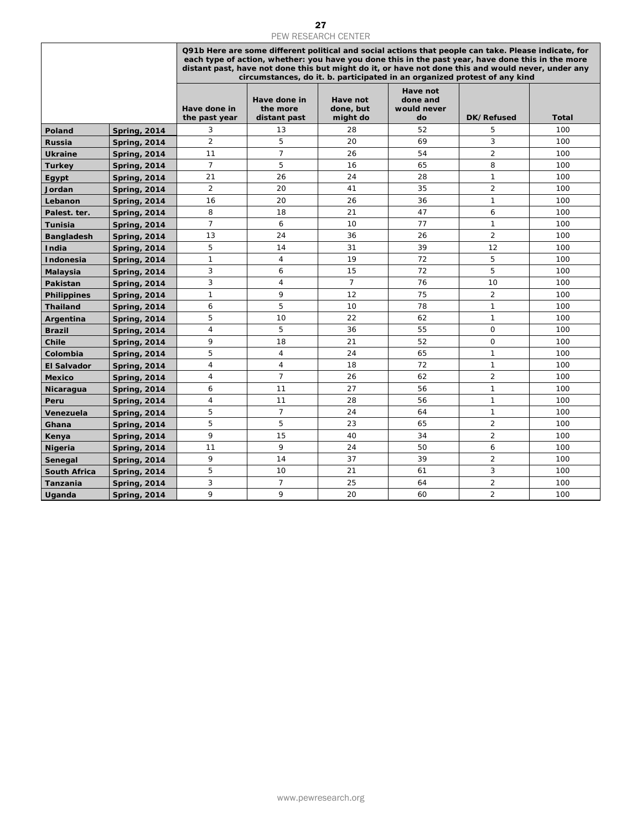|                            | 27<br>PEW RESEARCH CENTER                  |                               |                                          |                                   |                                                                                                                                                                                                                                                                                                                 |                                |              |  |  |
|----------------------------|--------------------------------------------|-------------------------------|------------------------------------------|-----------------------------------|-----------------------------------------------------------------------------------------------------------------------------------------------------------------------------------------------------------------------------------------------------------------------------------------------------------------|--------------------------------|--------------|--|--|
|                            |                                            |                               |                                          |                                   | Q91b Here are some different political and social actions that people can take. Please indicate, for<br>each type of action, whether: you have you done this in the past year, have done this in the more<br>distant past, have not done this but might do it, or have not done this and would never, under any |                                |              |  |  |
|                            |                                            | Have done in<br>the past year | Have done in<br>the more<br>distant past | Have not<br>done, but<br>might do | circumstances, do it. b. participated in an organized protest of any kind<br>Have not<br>done and<br>would never<br>do                                                                                                                                                                                          | <b>DK/Refused</b>              | <b>Total</b> |  |  |
| Poland                     | <b>Spring, 2014</b>                        | 3                             | 13                                       | 28                                | 52                                                                                                                                                                                                                                                                                                              | 5                              | 100          |  |  |
| <b>Russia</b>              | <b>Spring, 2014</b>                        | $\overline{2}$                | 5                                        | 20                                | 69                                                                                                                                                                                                                                                                                                              | 3                              | 100          |  |  |
| <b>Ukraine</b>             | <b>Spring, 2014</b>                        | 11                            | $\overline{7}$                           | 26                                | 54                                                                                                                                                                                                                                                                                                              | $\overline{2}$                 | 100          |  |  |
| <b>Turkey</b>              | <b>Spring, 2014</b>                        | $\overline{7}$                | 5                                        | 16                                | 65                                                                                                                                                                                                                                                                                                              | 8                              | 100          |  |  |
| Egypt                      | <b>Spring, 2014</b>                        | 21                            | 26                                       | 24                                | 28                                                                                                                                                                                                                                                                                                              | $\mathbf{1}$                   | 100          |  |  |
| Jordan                     | <b>Spring, 2014</b>                        | $\overline{2}$                | 20                                       | 41                                | 35                                                                                                                                                                                                                                                                                                              | $\overline{2}$                 | 100          |  |  |
| Lebanon                    | <b>Spring, 2014</b>                        | 16<br>8                       | 20<br>18                                 | 26<br>21                          | 36<br>47                                                                                                                                                                                                                                                                                                        | $\mathbf{1}$<br>6              | 100<br>100   |  |  |
| Palest. ter.<br>Tunisia    | <b>Spring, 2014</b><br><b>Spring, 2014</b> | $\overline{7}$                | 6                                        | 10                                | 77                                                                                                                                                                                                                                                                                                              | $\mathbf{1}$                   | 100          |  |  |
| <b>Bangladesh</b>          | <b>Spring, 2014</b>                        | 13                            | 24                                       | 36                                | 26                                                                                                                                                                                                                                                                                                              | $\overline{2}$                 | 100          |  |  |
| India                      | <b>Spring, 2014</b>                        | 5                             | 14                                       | 31                                | 39                                                                                                                                                                                                                                                                                                              | 12                             | 100          |  |  |
| <b>Indonesia</b>           | <b>Spring, 2014</b>                        | $\mathbf{1}$                  | 4                                        | 19                                | 72                                                                                                                                                                                                                                                                                                              | 5                              | 100          |  |  |
| Malaysia                   | <b>Spring, 2014</b>                        | 3                             | 6                                        | 15                                | 72                                                                                                                                                                                                                                                                                                              | 5                              | 100          |  |  |
| Pakistan                   | <b>Spring, 2014</b>                        | 3                             | 4                                        | $\overline{7}$                    | 76                                                                                                                                                                                                                                                                                                              | 10                             | 100          |  |  |
| <b>Philippines</b>         | <b>Spring, 2014</b>                        | $\mathbf{1}$                  | 9                                        | 12                                | 75                                                                                                                                                                                                                                                                                                              | $\overline{2}$                 | 100          |  |  |
| <b>Thailand</b>            | <b>Spring, 2014</b>                        | 6                             | 5                                        | 10                                | 78                                                                                                                                                                                                                                                                                                              | $\mathbf{1}$                   | 100          |  |  |
| Argentina                  | <b>Spring, 2014</b>                        | 5                             | 10                                       | 22                                | 62                                                                                                                                                                                                                                                                                                              | $\mathbf{1}$                   | 100          |  |  |
| <b>Brazil</b>              | <b>Spring, 2014</b>                        | 4                             | 5                                        | 36                                | 55                                                                                                                                                                                                                                                                                                              | $\mathsf{O}$                   | 100          |  |  |
| Chile                      | <b>Spring, 2014</b>                        | 9                             | 18                                       | 21                                | 52                                                                                                                                                                                                                                                                                                              | $\mathbf 0$                    | 100          |  |  |
| Colombia                   | <b>Spring, 2014</b>                        | 5                             | $\overline{4}$                           | 24                                | 65<br>72                                                                                                                                                                                                                                                                                                        | $\mathbf{1}$                   | 100          |  |  |
| <b>El Salvador</b>         | <b>Spring, 2014</b>                        | $\overline{4}$<br>4           | $\overline{4}$<br>$\overline{7}$         | 18<br>26                          | 62                                                                                                                                                                                                                                                                                                              | $\mathbf{1}$<br>$\overline{2}$ | 100<br>100   |  |  |
| <b>Mexico</b><br>Nicaragua | <b>Spring, 2014</b><br><b>Spring, 2014</b> | 6                             | 11                                       | 27                                | 56                                                                                                                                                                                                                                                                                                              | $\mathbf{1}$                   | 100          |  |  |
| Peru                       | <b>Spring, 2014</b>                        | $\overline{4}$                | 11                                       | 28                                | 56                                                                                                                                                                                                                                                                                                              | $\mathbf{1}$                   | 100          |  |  |
| Venezuela                  | <b>Spring, 2014</b>                        | 5                             | $\overline{7}$                           | 24                                | 64                                                                                                                                                                                                                                                                                                              | $\mathbf{1}$                   | 100          |  |  |
| Ghana                      | <b>Spring, 2014</b>                        | 5                             | 5                                        | 23                                | 65                                                                                                                                                                                                                                                                                                              | $\overline{2}$                 | 100          |  |  |
| Kenya                      | <b>Spring, 2014</b>                        | 9                             | 15                                       | 40                                | 34                                                                                                                                                                                                                                                                                                              | $\overline{2}$                 | 100          |  |  |
| <b>Nigeria</b>             | <b>Spring, 2014</b>                        | 11                            | 9                                        | 24                                | 50                                                                                                                                                                                                                                                                                                              | 6                              | 100          |  |  |
| Senegal                    | <b>Spring, 2014</b>                        | 9                             | 14                                       | 37                                | 39                                                                                                                                                                                                                                                                                                              | $\overline{2}$                 | 100          |  |  |
| <b>South Africa</b>        | <b>Spring, 2014</b>                        | 5                             | 10                                       | 21                                | 61                                                                                                                                                                                                                                                                                                              | 3                              | 100          |  |  |
| Tanzania                   | <b>Spring, 2014</b>                        | 3                             | $\overline{7}$                           | 25                                | 64                                                                                                                                                                                                                                                                                                              | $\overline{2}$                 | 100          |  |  |
| Uganda                     | <b>Spring, 2014</b>                        | 9                             | 9                                        | 20                                | 60                                                                                                                                                                                                                                                                                                              | $\overline{2}$                 | 100          |  |  |
|                            |                                            |                               |                                          |                                   |                                                                                                                                                                                                                                                                                                                 |                                |              |  |  |
|                            |                                            |                               |                                          | www.pewresearch.org               |                                                                                                                                                                                                                                                                                                                 |                                |              |  |  |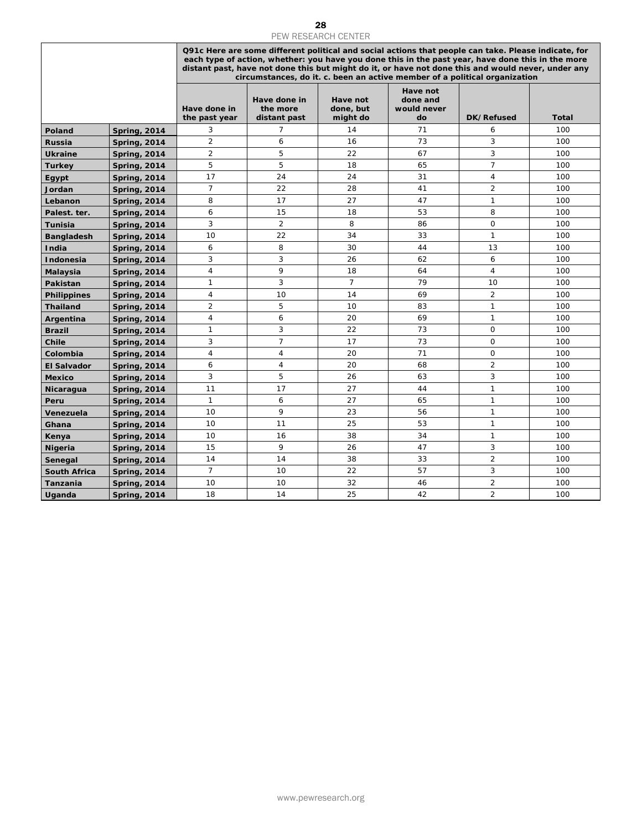|                        |                                            |                                  |                                          | PEW RESEARCH CENTER               |                                                                                                                                                                                                                                                                                                                                                                                               |                                |              |
|------------------------|--------------------------------------------|----------------------------------|------------------------------------------|-----------------------------------|-----------------------------------------------------------------------------------------------------------------------------------------------------------------------------------------------------------------------------------------------------------------------------------------------------------------------------------------------------------------------------------------------|--------------------------------|--------------|
|                        |                                            |                                  |                                          |                                   | Q91c Here are some different political and social actions that people can take. Please indicate, for<br>each type of action, whether: you have you done this in the past year, have done this in the more<br>distant past, have not done this but might do it, or have not done this and would never, under any<br>circumstances, do it. c. been an active member of a political organization |                                |              |
|                        |                                            | Have done in<br>the past year    | Have done in<br>the more<br>distant past | Have not<br>done, but<br>might do | Have not<br>done and<br>would never<br>do                                                                                                                                                                                                                                                                                                                                                     | DK/Refused                     | <b>Total</b> |
| Poland                 | <b>Spring, 2014</b>                        | 3                                | 7                                        | 14                                | 71                                                                                                                                                                                                                                                                                                                                                                                            | 6                              | 100          |
| <b>Russia</b>          | <b>Spring, 2014</b>                        | $\overline{2}$                   | 6                                        | 16                                | 73                                                                                                                                                                                                                                                                                                                                                                                            | 3                              | 100          |
| <b>Ukraine</b>         | <b>Spring, 2014</b>                        | $\overline{c}$                   | 5                                        | 22                                | 67                                                                                                                                                                                                                                                                                                                                                                                            | 3                              | 100          |
| <b>Turkey</b>          | <b>Spring, 2014</b>                        | 5                                | 5                                        | 18                                | 65                                                                                                                                                                                                                                                                                                                                                                                            | $\overline{7}$                 | 100          |
| Egypt                  | <b>Spring, 2014</b>                        | 17                               | 24                                       | 24                                | 31                                                                                                                                                                                                                                                                                                                                                                                            | 4                              | 100          |
| Jordan                 | <b>Spring, 2014</b>                        | $\overline{7}$                   | 22                                       | 28                                | 41                                                                                                                                                                                                                                                                                                                                                                                            | 2                              | 100          |
| Lebanon                | <b>Spring, 2014</b>                        | 8                                | 17                                       | 27                                | 47                                                                                                                                                                                                                                                                                                                                                                                            | $\mathbf{1}$                   | 100          |
| Palest. ter.           | <b>Spring, 2014</b>                        | 6                                | 15                                       | 18                                | 53                                                                                                                                                                                                                                                                                                                                                                                            | 8                              | 100          |
| Tunisia                | <b>Spring, 2014</b>                        | 3                                | 2                                        | 8                                 | 86                                                                                                                                                                                                                                                                                                                                                                                            | $\mathsf O$                    | 100          |
| <b>Bangladesh</b>      | <b>Spring, 2014</b>                        | 10                               | 22                                       | 34                                | 33                                                                                                                                                                                                                                                                                                                                                                                            | $\mathbf{1}$                   | 100          |
| India                  | <b>Spring, 2014</b>                        | 6                                | 8                                        | 30                                | 44                                                                                                                                                                                                                                                                                                                                                                                            | 13                             | 100          |
| Indonesia              | <b>Spring, 2014</b>                        | 3                                | 3                                        | 26                                | 62                                                                                                                                                                                                                                                                                                                                                                                            | 6                              | 100          |
| Malaysia               | <b>Spring, 2014</b>                        | $\overline{4}$                   | 9                                        | 18                                | 64                                                                                                                                                                                                                                                                                                                                                                                            | $\overline{4}$                 | 100          |
| Pakistan               | <b>Spring, 2014</b>                        | 1                                | 3                                        | $\overline{7}$                    | 79                                                                                                                                                                                                                                                                                                                                                                                            | 10                             | 100          |
| <b>Philippines</b>     | <b>Spring, 2014</b>                        | $\overline{4}$<br>$\overline{2}$ | 10<br>5                                  | 14<br>10                          | 69<br>83                                                                                                                                                                                                                                                                                                                                                                                      | $\overline{2}$<br>$\mathbf{1}$ | 100<br>100   |
| <b>Thailand</b>        | <b>Spring, 2014</b>                        | $\overline{4}$                   | 6                                        | 20                                | 69                                                                                                                                                                                                                                                                                                                                                                                            | $\mathbf{1}$                   | 100          |
| Argentina              | <b>Spring, 2014</b>                        | 1                                | 3                                        | 22                                | 73                                                                                                                                                                                                                                                                                                                                                                                            | $\mathsf O$                    | 100          |
| <b>Brazil</b><br>Chile | <b>Spring, 2014</b>                        | 3                                | $\overline{7}$                           | 17                                | 73                                                                                                                                                                                                                                                                                                                                                                                            | 0                              | 100          |
| Colombia               | <b>Spring, 2014</b><br><b>Spring, 2014</b> | $\overline{4}$                   | 4                                        | 20                                | 71                                                                                                                                                                                                                                                                                                                                                                                            | $\mathbf 0$                    | 100          |
| <b>El Salvador</b>     | <b>Spring, 2014</b>                        | 6                                | $\overline{4}$                           | 20                                | 68                                                                                                                                                                                                                                                                                                                                                                                            | $\overline{2}$                 | 100          |
| <b>Mexico</b>          | <b>Spring, 2014</b>                        | 3                                | 5                                        | 26                                | 63                                                                                                                                                                                                                                                                                                                                                                                            | 3                              | 100          |
| Nicaragua              | <b>Spring, 2014</b>                        | 11                               | 17                                       | 27                                | 44                                                                                                                                                                                                                                                                                                                                                                                            | $\mathbf{1}$                   | 100          |
| Peru                   | <b>Spring, 2014</b>                        | 1                                | 6                                        | 27                                | 65                                                                                                                                                                                                                                                                                                                                                                                            | $\mathbf{1}$                   | 100          |
| Venezuela              | <b>Spring, 2014</b>                        | 10                               | 9                                        | 23                                | 56                                                                                                                                                                                                                                                                                                                                                                                            | $\mathbf{1}$                   | 100          |
| Ghana                  | <b>Spring, 2014</b>                        | 10                               | 11                                       | 25                                | 53                                                                                                                                                                                                                                                                                                                                                                                            | $\mathbf{1}$                   | 100          |
| Kenya                  | <b>Spring, 2014</b>                        | 10                               | 16                                       | 38                                | 34                                                                                                                                                                                                                                                                                                                                                                                            | $\mathbf{1}$                   | 100          |
| Nigeria                | <b>Spring, 2014</b>                        | 15                               | 9                                        | 26                                | 47                                                                                                                                                                                                                                                                                                                                                                                            | 3                              | 100          |
| Senegal                | <b>Spring, 2014</b>                        | 14                               | 14                                       | 38                                | 33                                                                                                                                                                                                                                                                                                                                                                                            | $\overline{2}$                 | 100          |
| <b>South Africa</b>    | <b>Spring, 2014</b>                        | $\overline{7}$                   | 10                                       | 22                                | 57                                                                                                                                                                                                                                                                                                                                                                                            | 3                              | 100          |
| Tanzania               | <b>Spring, 2014</b>                        | 10                               | 10                                       | 32                                | 46                                                                                                                                                                                                                                                                                                                                                                                            | $\overline{2}$                 | 100          |
| Uganda                 | <b>Spring, 2014</b>                        | 18                               | 14                                       | 25                                | 42                                                                                                                                                                                                                                                                                                                                                                                            | $\overline{2}$                 | 100          |
|                        |                                            |                                  |                                          |                                   |                                                                                                                                                                                                                                                                                                                                                                                               |                                |              |
|                        |                                            |                                  |                                          | www.pewresearch.org               |                                                                                                                                                                                                                                                                                                                                                                                               |                                |              |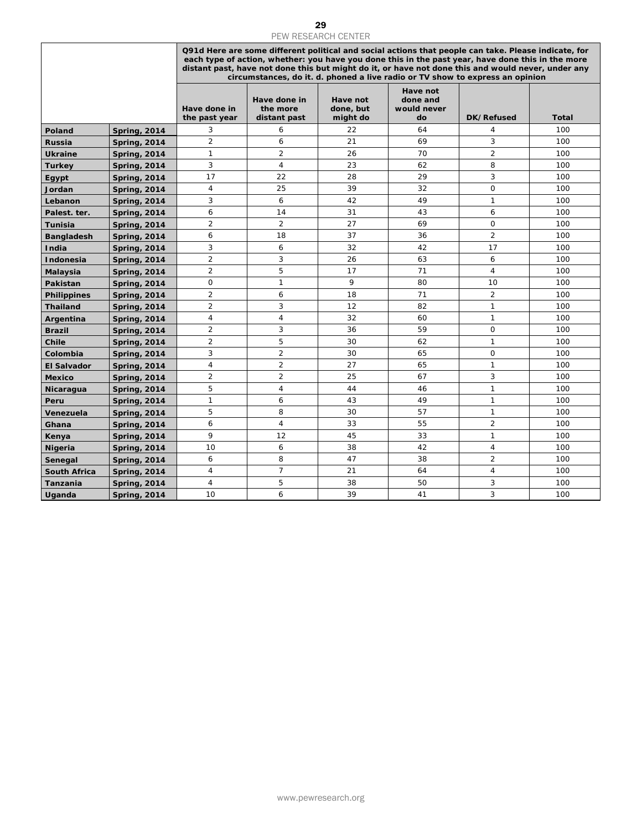|                     |                                            |                                  |                                                                                                                                                                                                                                                                                                                                                                                                  | <b>PEW RESEARCH CENTER</b>        |                                                  |                            |              |  |  |
|---------------------|--------------------------------------------|----------------------------------|--------------------------------------------------------------------------------------------------------------------------------------------------------------------------------------------------------------------------------------------------------------------------------------------------------------------------------------------------------------------------------------------------|-----------------------------------|--------------------------------------------------|----------------------------|--------------|--|--|
|                     |                                            |                                  | Q91d Here are some different political and social actions that people can take. Please indicate, for<br>each type of action, whether: you have you done this in the past year, have done this in the more<br>distant past, have not done this but might do it, or have not done this and would never, under any<br>circumstances, do it. d. phoned a live radio or TV show to express an opinion |                                   |                                                  |                            |              |  |  |
|                     |                                            | Have done in<br>the past year    | Have done in<br>the more<br>distant past                                                                                                                                                                                                                                                                                                                                                         | Have not<br>done, but<br>might do | <b>Have not</b><br>done and<br>would never<br>do | DK/Refused                 | <b>Total</b> |  |  |
| Poland              | <b>Spring, 2014</b>                        | 3                                | 6                                                                                                                                                                                                                                                                                                                                                                                                | 22                                | 64                                               | 4                          | 100          |  |  |
| Russia              | <b>Spring, 2014</b>                        | $\overline{2}$                   | 6                                                                                                                                                                                                                                                                                                                                                                                                | 21                                | 69                                               | 3                          | 100          |  |  |
| <b>Ukraine</b>      | <b>Spring, 2014</b>                        | $\mathbf{1}$                     | $\overline{2}$                                                                                                                                                                                                                                                                                                                                                                                   | 26                                | 70                                               | $\overline{2}$             | 100          |  |  |
| <b>Turkey</b>       | <b>Spring, 2014</b>                        | 3                                | 4                                                                                                                                                                                                                                                                                                                                                                                                | 23                                | 62                                               | 8                          | 100          |  |  |
| Egypt               | <b>Spring, 2014</b>                        | 17                               | 22                                                                                                                                                                                                                                                                                                                                                                                               | 28                                | 29                                               | 3                          | 100          |  |  |
| Jordan              | <b>Spring, 2014</b>                        | 4                                | 25                                                                                                                                                                                                                                                                                                                                                                                               | 39                                | 32                                               | 0                          | 100          |  |  |
| Lebanon             | <b>Spring, 2014</b>                        | 3                                | 6                                                                                                                                                                                                                                                                                                                                                                                                | 42                                | 49                                               | $\mathbf{1}$               | 100          |  |  |
| Palest. ter.        | <b>Spring, 2014</b>                        | 6                                | 14                                                                                                                                                                                                                                                                                                                                                                                               | 31                                | 43                                               | 6                          | 100          |  |  |
| Tunisia             | <b>Spring, 2014</b>                        | $\overline{2}$                   | $\overline{2}$                                                                                                                                                                                                                                                                                                                                                                                   | 27                                | 69                                               | $\mathsf{O}$               | 100          |  |  |
| <b>Bangladesh</b>   | <b>Spring, 2014</b>                        | 6                                | 18                                                                                                                                                                                                                                                                                                                                                                                               | 37                                | 36                                               | $\overline{2}$             | 100          |  |  |
| India               | <b>Spring, 2014</b>                        | 3                                | 6                                                                                                                                                                                                                                                                                                                                                                                                | 32                                | 42                                               | 17                         | 100          |  |  |
| Indonesia           | <b>Spring, 2014</b>                        | $\overline{2}$                   | 3                                                                                                                                                                                                                                                                                                                                                                                                | 26                                | 63                                               | 6                          | 100          |  |  |
| Malaysia            | <b>Spring, 2014</b>                        | $\overline{2}$                   | 5                                                                                                                                                                                                                                                                                                                                                                                                | 17                                | 71                                               | $\overline{4}$             | 100          |  |  |
| Pakistan            | <b>Spring, 2014</b>                        | 0                                | 1                                                                                                                                                                                                                                                                                                                                                                                                | 9                                 | 80                                               | 10                         | 100          |  |  |
| <b>Philippines</b>  | <b>Spring, 2014</b>                        | $\overline{2}$                   | 6                                                                                                                                                                                                                                                                                                                                                                                                | 18                                | 71                                               | $\overline{2}$             | 100          |  |  |
| <b>Thailand</b>     | <b>Spring, 2014</b>                        | $\overline{2}$                   | 3                                                                                                                                                                                                                                                                                                                                                                                                | 12                                | 82                                               | $\mathbf{1}$               | 100          |  |  |
| Argentina           | <b>Spring, 2014</b>                        | $\overline{4}$                   | $\overline{4}$                                                                                                                                                                                                                                                                                                                                                                                   | 32                                | 60                                               | $\mathbf{1}$               | 100          |  |  |
| <b>Brazil</b>       | <b>Spring, 2014</b>                        | $\overline{2}$                   | 3                                                                                                                                                                                                                                                                                                                                                                                                | 36                                | 59                                               | $\mathbf 0$                | 100          |  |  |
| Chile               | <b>Spring, 2014</b>                        | $\overline{2}$                   | 5                                                                                                                                                                                                                                                                                                                                                                                                | 30                                | 62                                               | $\mathbf{1}$               | 100          |  |  |
| Colombia            | <b>Spring, 2014</b>                        | 3                                | $\overline{2}$                                                                                                                                                                                                                                                                                                                                                                                   | 30                                | 65                                               | $\mathbf 0$                | 100          |  |  |
| <b>El Salvador</b>  | <b>Spring, 2014</b>                        | $\overline{4}$<br>$\overline{2}$ | $\overline{c}$<br>$\overline{2}$                                                                                                                                                                                                                                                                                                                                                                 | 27                                | 65                                               | $\mathbf{1}$<br>$\sqrt{3}$ | 100          |  |  |
| <b>Mexico</b>       | <b>Spring, 2014</b>                        | 5                                | 4                                                                                                                                                                                                                                                                                                                                                                                                | 25<br>44                          | 67<br>46                                         | $\mathbf{1}$               | 100<br>100   |  |  |
| Nicaragua           | <b>Spring, 2014</b>                        | $\mathbf{1}$                     | 6                                                                                                                                                                                                                                                                                                                                                                                                | 43                                | 49                                               | $\mathbf{1}$               | 100          |  |  |
| Peru<br>Venezuela   | <b>Spring, 2014</b><br><b>Spring, 2014</b> | 5                                | 8                                                                                                                                                                                                                                                                                                                                                                                                | 30                                | 57                                               | $\mathbf{1}$               | 100          |  |  |
| Ghana               | <b>Spring, 2014</b>                        | 6                                | $\overline{4}$                                                                                                                                                                                                                                                                                                                                                                                   | 33                                | 55                                               | $\overline{2}$             | 100          |  |  |
| Kenya               | <b>Spring, 2014</b>                        | 9                                | 12                                                                                                                                                                                                                                                                                                                                                                                               | 45                                | 33                                               | $\mathbf{1}$               | 100          |  |  |
| <b>Nigeria</b>      | <b>Spring, 2014</b>                        | 10                               | 6                                                                                                                                                                                                                                                                                                                                                                                                | 38                                | 42                                               | $\overline{4}$             | 100          |  |  |
| Senegal             | <b>Spring, 2014</b>                        | 6                                | 8                                                                                                                                                                                                                                                                                                                                                                                                | 47                                | 38                                               | 2                          | 100          |  |  |
| <b>South Africa</b> | <b>Spring, 2014</b>                        | 4                                | $\overline{7}$                                                                                                                                                                                                                                                                                                                                                                                   | 21                                | 64                                               | $\overline{4}$             | 100          |  |  |
| Tanzania            | <b>Spring, 2014</b>                        | $\overline{4}$                   | 5                                                                                                                                                                                                                                                                                                                                                                                                | 38                                | 50                                               | 3                          | 100          |  |  |
| <b>Uganda</b>       | <b>Spring, 2014</b>                        | 10                               | 6                                                                                                                                                                                                                                                                                                                                                                                                | 39                                | 41                                               | 3                          | 100          |  |  |
|                     |                                            |                                  |                                                                                                                                                                                                                                                                                                                                                                                                  |                                   |                                                  |                            |              |  |  |
|                     |                                            |                                  |                                                                                                                                                                                                                                                                                                                                                                                                  | www.pewresearch.org               |                                                  |                            |              |  |  |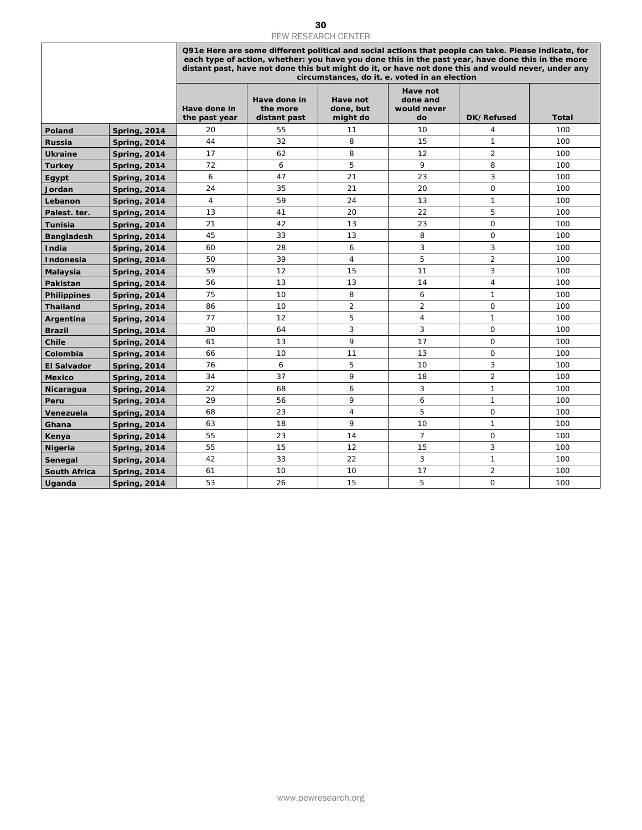|                     |                                            |                               | <b>PEW RESEARCH CENTER</b><br>Q91e Here are some different political and social actions that people can take. Please indicate, for<br>each type of action, whether: you have you done this in the past year, have done this in the more<br>distant past, have not done this but might do it, or have not done this and would never, under any<br>circumstances, do it. e. voted in an election |                                   |                                           |                                |              |  |  |
|---------------------|--------------------------------------------|-------------------------------|------------------------------------------------------------------------------------------------------------------------------------------------------------------------------------------------------------------------------------------------------------------------------------------------------------------------------------------------------------------------------------------------|-----------------------------------|-------------------------------------------|--------------------------------|--------------|--|--|
|                     |                                            | Have done in<br>the past year | Have done in<br>the more<br>distant past                                                                                                                                                                                                                                                                                                                                                       | Have not<br>done, but<br>might do | Have not<br>done and<br>would never<br>do | <b>DK/Refused</b>              | <b>Total</b> |  |  |
| Poland              | <b>Spring, 2014</b>                        | 20                            | 55                                                                                                                                                                                                                                                                                                                                                                                             | 11                                | 10                                        | 4                              | 100          |  |  |
| <b>Russia</b>       | <b>Spring, 2014</b>                        | 44                            | 32                                                                                                                                                                                                                                                                                                                                                                                             | 8                                 | 15                                        | $\mathbf{1}$                   | 100          |  |  |
| <b>Ukraine</b>      | <b>Spring, 2014</b>                        | 17                            | 62                                                                                                                                                                                                                                                                                                                                                                                             | 8                                 | 12                                        | $\overline{2}$                 | 100          |  |  |
| <b>Turkey</b>       | <b>Spring, 2014</b>                        | 72                            | 6                                                                                                                                                                                                                                                                                                                                                                                              | 5                                 | 9                                         | 8                              | 100          |  |  |
| Egypt               | <b>Spring, 2014</b>                        | 6                             | 47                                                                                                                                                                                                                                                                                                                                                                                             | 21                                | 23                                        | 3                              | 100          |  |  |
| Jordan              | <b>Spring, 2014</b>                        | 24                            | 35                                                                                                                                                                                                                                                                                                                                                                                             | 21                                | 20                                        | $\mathbf 0$                    | 100          |  |  |
| Lebanon             | <b>Spring, 2014</b>                        | 4                             | 59                                                                                                                                                                                                                                                                                                                                                                                             | 24                                | 13                                        | $\mathbf{1}$                   | 100          |  |  |
| Palest. ter.        | <b>Spring, 2014</b>                        | 13                            | 41                                                                                                                                                                                                                                                                                                                                                                                             | 20                                | 22                                        | 5                              | 100          |  |  |
| <b>Tunisia</b>      | <b>Spring, 2014</b>                        | 21                            | 42                                                                                                                                                                                                                                                                                                                                                                                             | 13                                | 23<br>8                                   | $\mathbf 0$<br>$\mathbf 0$     | 100          |  |  |
| <b>Bangladesh</b>   | <b>Spring, 2014</b>                        | 45<br>60                      | 33<br>28                                                                                                                                                                                                                                                                                                                                                                                       | 13<br>6                           | 3                                         | 3                              | 100<br>100   |  |  |
| India<br>Indonesia  | <b>Spring, 2014</b><br><b>Spring, 2014</b> | 50                            | 39                                                                                                                                                                                                                                                                                                                                                                                             | $\overline{4}$                    | 5                                         | $\overline{c}$                 | 100          |  |  |
| Malaysia            | <b>Spring, 2014</b>                        | 59                            | 12                                                                                                                                                                                                                                                                                                                                                                                             | 15                                | 11                                        | 3                              | 100          |  |  |
| Pakistan            | <b>Spring, 2014</b>                        | 56                            | 13                                                                                                                                                                                                                                                                                                                                                                                             | 13                                | 14                                        | $\overline{4}$                 | 100          |  |  |
| <b>Philippines</b>  | <b>Spring, 2014</b>                        | 75                            | 10                                                                                                                                                                                                                                                                                                                                                                                             | 8                                 | 6                                         | $\mathbf{1}$                   | 100          |  |  |
| <b>Thailand</b>     | <b>Spring, 2014</b>                        | 86                            | 10                                                                                                                                                                                                                                                                                                                                                                                             | $\overline{2}$                    | $\overline{\mathbf{c}}$                   | $\mathbf 0$                    | 100          |  |  |
| Argentina           | <b>Spring, 2014</b>                        | 77                            | 12                                                                                                                                                                                                                                                                                                                                                                                             | 5                                 | $\overline{4}$                            | $\mathbf{1}$                   | 100          |  |  |
| <b>Brazil</b>       | <b>Spring, 2014</b>                        | 30                            | 64                                                                                                                                                                                                                                                                                                                                                                                             | 3                                 | 3                                         | $\mathsf O$                    | 100          |  |  |
| Chile               | <b>Spring, 2014</b>                        | 61                            | 13                                                                                                                                                                                                                                                                                                                                                                                             | 9                                 | 17                                        | $\mathsf O$                    | 100          |  |  |
| Colombia            | <b>Spring, 2014</b>                        | 66                            | 10                                                                                                                                                                                                                                                                                                                                                                                             | 11                                | 13                                        | $\mathsf O$                    | 100          |  |  |
| <b>El Salvador</b>  | <b>Spring, 2014</b>                        | 76                            | 6                                                                                                                                                                                                                                                                                                                                                                                              | 5<br>9                            | 10                                        | 3                              | 100          |  |  |
| <b>Mexico</b>       | <b>Spring, 2014</b>                        | 34<br>22                      | 37<br>68                                                                                                                                                                                                                                                                                                                                                                                       | 6                                 | 18<br>3                                   | $\overline{2}$<br>$\mathbf{1}$ | 100<br>100   |  |  |
| Nicaragua<br>Peru   | <b>Spring, 2014</b><br><b>Spring, 2014</b> | 29                            | 56                                                                                                                                                                                                                                                                                                                                                                                             | 9                                 | 6                                         | $\mathbf{1}$                   | 100          |  |  |
| Venezuela           | <b>Spring, 2014</b>                        | 68                            | 23                                                                                                                                                                                                                                                                                                                                                                                             | $\overline{4}$                    | 5                                         | 0                              | 100          |  |  |
| Ghana               | <b>Spring, 2014</b>                        | 63                            | 18                                                                                                                                                                                                                                                                                                                                                                                             | 9                                 | 10                                        | $\mathbf{1}$                   | 100          |  |  |
| Kenya               | <b>Spring, 2014</b>                        | 55                            | 23                                                                                                                                                                                                                                                                                                                                                                                             | 14                                | $\overline{7}$                            | $\mathsf O$                    | 100          |  |  |
| <b>Nigeria</b>      | <b>Spring, 2014</b>                        | 55                            | 15                                                                                                                                                                                                                                                                                                                                                                                             | 12                                | 15                                        | 3                              | 100          |  |  |
| Senegal             | <b>Spring, 2014</b>                        | 42                            | 33                                                                                                                                                                                                                                                                                                                                                                                             | 22                                | 3                                         | $\mathbf{1}$                   | 100          |  |  |
| <b>South Africa</b> | <b>Spring, 2014</b>                        | 61                            | 10                                                                                                                                                                                                                                                                                                                                                                                             | 10                                | 17                                        | $\overline{2}$                 | 100          |  |  |
| Uganda              | <b>Spring, 2014</b>                        | 53                            | 26                                                                                                                                                                                                                                                                                                                                                                                             | 15                                | 5                                         | 0                              | 100          |  |  |
|                     |                                            |                               |                                                                                                                                                                                                                                                                                                                                                                                                |                                   |                                           |                                |              |  |  |
|                     |                                            |                               |                                                                                                                                                                                                                                                                                                                                                                                                | www.pewresearch.org               |                                           |                                |              |  |  |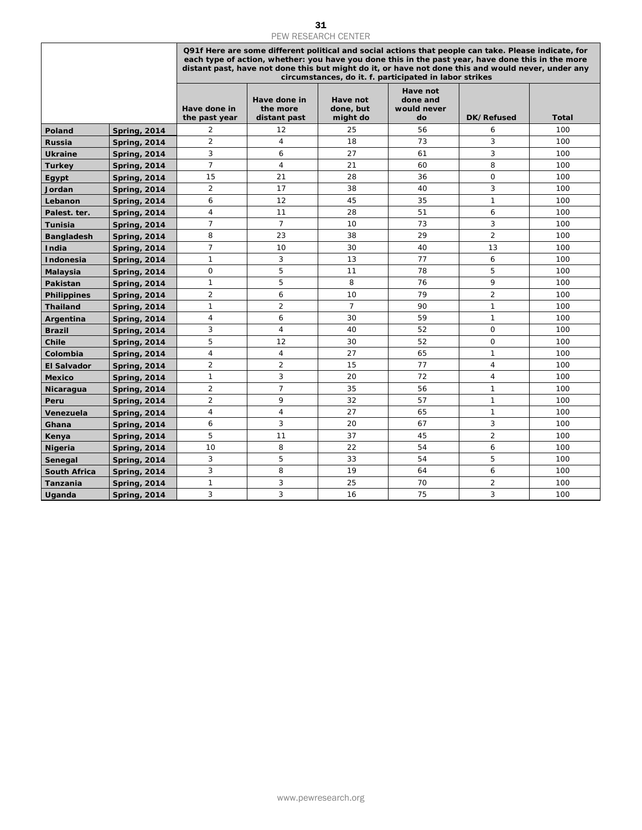|                                |                                            |                               |                                          | PEW RESEARCH CENTER               |                                                                                                                                                                                                                                                                                                                                                                           |                |            |
|--------------------------------|--------------------------------------------|-------------------------------|------------------------------------------|-----------------------------------|---------------------------------------------------------------------------------------------------------------------------------------------------------------------------------------------------------------------------------------------------------------------------------------------------------------------------------------------------------------------------|----------------|------------|
|                                |                                            |                               |                                          |                                   | Q91f Here are some different political and social actions that people can take. Please indicate, for<br>each type of action, whether: you have you done this in the past year, have done this in the more<br>distant past, have not done this but might do it, or have not done this and would never, under any<br>circumstances, do it. f. participated in labor strikes |                |            |
|                                |                                            | Have done in<br>the past year | Have done in<br>the more<br>distant past | Have not<br>done, but<br>might do | Have not<br>done and<br>would never<br>do                                                                                                                                                                                                                                                                                                                                 | DK/Refused     | Total      |
| Poland                         | <b>Spring, 2014</b>                        | 2                             | 12                                       | 25                                | 56                                                                                                                                                                                                                                                                                                                                                                        | 6              | 100        |
| <b>Russia</b>                  | <b>Spring, 2014</b>                        | $\overline{2}$                | $\overline{4}$                           | 18                                | 73                                                                                                                                                                                                                                                                                                                                                                        | 3              | 100        |
| <b>Ukraine</b>                 | <b>Spring, 2014</b>                        | 3                             | 6                                        | 27                                | 61                                                                                                                                                                                                                                                                                                                                                                        | 3              | 100        |
| <b>Turkey</b>                  | <b>Spring, 2014</b>                        | $\overline{7}$                | 4                                        | 21                                | 60                                                                                                                                                                                                                                                                                                                                                                        | 8              | 100        |
| Egypt                          | <b>Spring, 2014</b>                        | 15                            | 21                                       | 28                                | 36                                                                                                                                                                                                                                                                                                                                                                        | $\mathsf{O}$   | 100        |
| Jordan                         | <b>Spring, 2014</b>                        | 2                             | 17                                       | 38                                | 40                                                                                                                                                                                                                                                                                                                                                                        | 3              | 100        |
| Lebanon                        | <b>Spring, 2014</b>                        | 6                             | 12                                       | 45                                | 35                                                                                                                                                                                                                                                                                                                                                                        | $\mathbf{1}$   | 100        |
| Palest. ter.                   | <b>Spring, 2014</b>                        | $\overline{4}$                | 11                                       | 28                                | 51                                                                                                                                                                                                                                                                                                                                                                        | 6              | 100        |
| Tunisia                        | <b>Spring, 2014</b>                        | $\overline{7}$                | $\overline{7}$                           | 10                                | 73                                                                                                                                                                                                                                                                                                                                                                        | 3              | 100        |
| <b>Bangladesh</b>              | <b>Spring, 2014</b>                        | 8                             | 23                                       | 38                                | 29                                                                                                                                                                                                                                                                                                                                                                        | $\overline{2}$ | 100        |
| India                          | <b>Spring, 2014</b>                        | $\overline{7}$                | 10                                       | 30                                | 40                                                                                                                                                                                                                                                                                                                                                                        | 13             | 100        |
| <b>Indonesia</b>               | <b>Spring, 2014</b>                        | $\mathbf{1}$<br>$\mathsf O$   | 3                                        | 13                                | 77                                                                                                                                                                                                                                                                                                                                                                        | 6              | 100        |
| Malaysia                       | <b>Spring, 2014</b>                        | $\mathbf{1}$                  | 5<br>5                                   | 11<br>8                           | 78<br>76                                                                                                                                                                                                                                                                                                                                                                  | 5<br>9         | 100<br>100 |
| Pakistan<br><b>Philippines</b> | <b>Spring, 2014</b><br><b>Spring, 2014</b> | $\overline{2}$                | 6                                        | 10                                | 79                                                                                                                                                                                                                                                                                                                                                                        | $\overline{2}$ | 100        |
| <b>Thailand</b>                | <b>Spring, 2014</b>                        | $\mathbf{1}$                  | $\overline{2}$                           | $\overline{7}$                    | 90                                                                                                                                                                                                                                                                                                                                                                        | $\mathbf{1}$   | 100        |
| Argentina                      | <b>Spring, 2014</b>                        | $\overline{4}$                | 6                                        | 30                                | 59                                                                                                                                                                                                                                                                                                                                                                        | $\mathbf{1}$   | 100        |
| <b>Brazil</b>                  | <b>Spring, 2014</b>                        | 3                             | $\overline{4}$                           | 40                                | 52                                                                                                                                                                                                                                                                                                                                                                        | $\mathsf O$    | 100        |
| Chile                          | <b>Spring, 2014</b>                        | 5                             | 12                                       | 30                                | 52                                                                                                                                                                                                                                                                                                                                                                        | 0              | 100        |
| Colombia                       | <b>Spring, 2014</b>                        | $\overline{4}$                | 4                                        | 27                                | 65                                                                                                                                                                                                                                                                                                                                                                        | $\mathbf{1}$   | 100        |
| <b>El Salvador</b>             | <b>Spring, 2014</b>                        | $\overline{2}$                | $\overline{2}$                           | 15                                | 77                                                                                                                                                                                                                                                                                                                                                                        | $\overline{4}$ | 100        |
| <b>Mexico</b>                  | <b>Spring, 2014</b>                        | 1                             | 3                                        | 20                                | 72                                                                                                                                                                                                                                                                                                                                                                        | $\overline{4}$ | 100        |
| Nicaragua                      | <b>Spring, 2014</b>                        | $\overline{2}$                | $\overline{7}$                           | 35                                | 56                                                                                                                                                                                                                                                                                                                                                                        | $\mathbf{1}$   | 100        |
| Peru                           | <b>Spring, 2014</b>                        | $\overline{2}$                | 9                                        | 32                                | 57                                                                                                                                                                                                                                                                                                                                                                        | $\mathbf{1}$   | 100        |
| Venezuela                      | <b>Spring, 2014</b>                        | $\overline{4}$                | $\sqrt{4}$                               | 27                                | 65                                                                                                                                                                                                                                                                                                                                                                        | $\mathbf{1}$   | 100        |
| Ghana                          | <b>Spring, 2014</b>                        | 6                             | 3                                        | 20                                | 67                                                                                                                                                                                                                                                                                                                                                                        | 3              | 100        |
| Kenya                          | <b>Spring, 2014</b>                        | 5                             | 11                                       | 37                                | 45                                                                                                                                                                                                                                                                                                                                                                        | $\overline{2}$ | 100        |
| Nigeria                        | <b>Spring, 2014</b>                        | 10                            | 8                                        | 22                                | 54                                                                                                                                                                                                                                                                                                                                                                        | 6              | 100        |
| Senegal                        | <b>Spring, 2014</b>                        | 3                             | 5                                        | 33                                | 54                                                                                                                                                                                                                                                                                                                                                                        | 5              | 100        |
| <b>South Africa</b>            | <b>Spring, 2014</b>                        | 3                             | 8                                        | 19                                | 64                                                                                                                                                                                                                                                                                                                                                                        | 6              | 100        |
| Tanzania                       | <b>Spring, 2014</b>                        | 1                             | 3                                        | 25                                | 70                                                                                                                                                                                                                                                                                                                                                                        | $\overline{2}$ | 100        |
| Uganda                         | <b>Spring, 2014</b>                        | 3                             | 3                                        | 16                                | 75                                                                                                                                                                                                                                                                                                                                                                        | 3              | 100        |
|                                |                                            |                               |                                          |                                   |                                                                                                                                                                                                                                                                                                                                                                           |                |            |
|                                |                                            |                               |                                          | www.pewresearch.org               |                                                                                                                                                                                                                                                                                                                                                                           |                |            |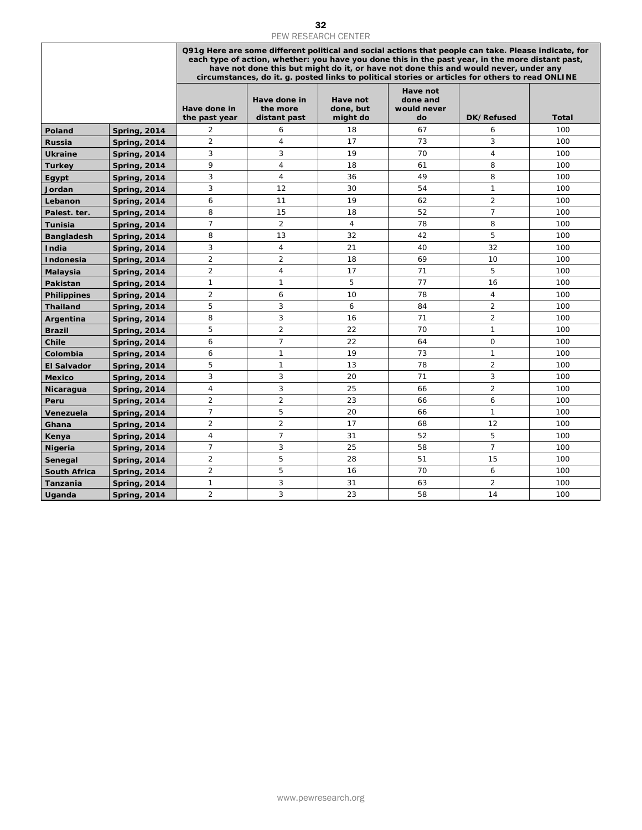| PEW RESEARCH CENTER  |                                            |                                  |                                          |                                   |                                                                                                                                                                                                                                                                                                                                                                                                      |                     |              |  |  |
|----------------------|--------------------------------------------|----------------------------------|------------------------------------------|-----------------------------------|------------------------------------------------------------------------------------------------------------------------------------------------------------------------------------------------------------------------------------------------------------------------------------------------------------------------------------------------------------------------------------------------------|---------------------|--------------|--|--|
|                      |                                            |                                  |                                          |                                   | Q91g Here are some different political and social actions that people can take. Please indicate, for<br>each type of action, whether: you have you done this in the past year, in the more distant past,<br>have not done this but might do it, or have not done this and would never, under any<br>circumstances, do it. g. posted links to political stories or articles for others to read ONLINE |                     |              |  |  |
|                      |                                            | Have done in<br>the past year    | Have done in<br>the more<br>distant past | Have not<br>done, but<br>might do | Have not<br>done and<br>would never<br>do                                                                                                                                                                                                                                                                                                                                                            | DK/Refused          | <b>Total</b> |  |  |
| Poland               | <b>Spring, 2014</b>                        | 2                                | 6                                        | 18                                | 67                                                                                                                                                                                                                                                                                                                                                                                                   | 6                   | 100          |  |  |
| <b>Russia</b>        | <b>Spring, 2014</b>                        | $\overline{2}$                   | $\overline{4}$                           | 17                                | 73                                                                                                                                                                                                                                                                                                                                                                                                   | 3                   | 100          |  |  |
| <b>Ukraine</b>       | <b>Spring, 2014</b>                        | 3                                | 3                                        | 19                                | 70                                                                                                                                                                                                                                                                                                                                                                                                   | 4                   | 100          |  |  |
| <b>Turkey</b>        | <b>Spring, 2014</b>                        | 9                                | 4                                        | 18                                | 61                                                                                                                                                                                                                                                                                                                                                                                                   | 8                   | 100          |  |  |
| Egypt                | <b>Spring, 2014</b>                        | 3                                | 4                                        | 36                                | 49                                                                                                                                                                                                                                                                                                                                                                                                   | 8                   | 100          |  |  |
| Jordan               | <b>Spring, 2014</b>                        | 3                                | 12                                       | 30                                | 54                                                                                                                                                                                                                                                                                                                                                                                                   | $\mathbf{1}$        | 100          |  |  |
| Lebanon              | <b>Spring, 2014</b>                        | 6                                | 11                                       | 19                                | 62                                                                                                                                                                                                                                                                                                                                                                                                   | $\overline{2}$      | 100          |  |  |
| Palest. ter.         | <b>Spring, 2014</b>                        | 8                                | 15                                       | 18                                | 52                                                                                                                                                                                                                                                                                                                                                                                                   | $\overline{7}$      | 100          |  |  |
| Tunisia              | <b>Spring, 2014</b>                        | $\overline{7}$                   | $\overline{2}$                           | 4                                 | 78                                                                                                                                                                                                                                                                                                                                                                                                   | 8                   | 100          |  |  |
| <b>Bangladesh</b>    | <b>Spring, 2014</b>                        | 8                                | 13                                       | 32                                | 42                                                                                                                                                                                                                                                                                                                                                                                                   | 5                   | 100          |  |  |
| India                | <b>Spring, 2014</b>                        | 3                                | 4                                        | 21                                | 40                                                                                                                                                                                                                                                                                                                                                                                                   | 32                  | 100          |  |  |
| <b>Indonesia</b>     | <b>Spring, 2014</b>                        | $\overline{2}$<br>$\overline{2}$ | $\overline{2}$<br>4                      | 18<br>17                          | 69<br>71                                                                                                                                                                                                                                                                                                                                                                                             | 10<br>5             | 100<br>100   |  |  |
| Malaysia<br>Pakistan | <b>Spring, 2014</b><br><b>Spring, 2014</b> | $\mathbf{1}$                     | 1                                        | 5                                 | 77                                                                                                                                                                                                                                                                                                                                                                                                   | 16                  | 100          |  |  |
| <b>Philippines</b>   | <b>Spring, 2014</b>                        | $\overline{2}$                   | 6                                        | 10                                | 78                                                                                                                                                                                                                                                                                                                                                                                                   | 4                   | 100          |  |  |
| <b>Thailand</b>      | <b>Spring, 2014</b>                        | 5                                | 3                                        | 6                                 | 84                                                                                                                                                                                                                                                                                                                                                                                                   | $\overline{2}$      | 100          |  |  |
| Argentina            | <b>Spring, 2014</b>                        | 8                                | 3                                        | 16                                | 71                                                                                                                                                                                                                                                                                                                                                                                                   | $\overline{2}$      | 100          |  |  |
| <b>Brazil</b>        | <b>Spring, 2014</b>                        | 5                                | $\overline{2}$                           | 22                                | 70                                                                                                                                                                                                                                                                                                                                                                                                   | $\mathbf{1}$        | 100          |  |  |
| Chile                | <b>Spring, 2014</b>                        | 6                                | $\overline{7}$                           | 22                                | 64                                                                                                                                                                                                                                                                                                                                                                                                   | $\mathsf{O}$        | 100          |  |  |
| Colombia             | <b>Spring, 2014</b>                        | $\boldsymbol{6}$                 | $\mathbf{1}$                             | 19                                | 73                                                                                                                                                                                                                                                                                                                                                                                                   | $\mathbf{1}$        | 100          |  |  |
| <b>El Salvador</b>   | <b>Spring, 2014</b>                        | 5                                | 1                                        | 13                                | 78                                                                                                                                                                                                                                                                                                                                                                                                   | $\overline{2}$      | 100          |  |  |
| <b>Mexico</b>        | <b>Spring, 2014</b>                        | 3                                | 3                                        | 20                                | 71                                                                                                                                                                                                                                                                                                                                                                                                   | 3                   | 100          |  |  |
| Nicaragua            | <b>Spring, 2014</b>                        | 4                                | 3                                        | 25                                | 66                                                                                                                                                                                                                                                                                                                                                                                                   | $\overline{2}$      | 100          |  |  |
| Peru                 | <b>Spring, 2014</b>                        | $\overline{2}$                   | $\overline{2}$                           | 23                                | 66                                                                                                                                                                                                                                                                                                                                                                                                   | 6                   | 100          |  |  |
| Venezuela            | <b>Spring, 2014</b>                        | $\overline{7}$                   | 5                                        | 20                                | 66                                                                                                                                                                                                                                                                                                                                                                                                   | $\mathbf{1}$        | 100          |  |  |
| Ghana                | <b>Spring, 2014</b>                        | $\overline{2}$                   | $\overline{c}$                           | 17                                | 68                                                                                                                                                                                                                                                                                                                                                                                                   | 12                  | 100          |  |  |
| Kenya                | <b>Spring, 2014</b>                        | $\overline{4}$                   | $\overline{7}$                           | 31                                | 52                                                                                                                                                                                                                                                                                                                                                                                                   | 5                   | 100          |  |  |
| Nigeria              | <b>Spring, 2014</b>                        | $\overline{7}$                   | 3                                        | 25                                | 58                                                                                                                                                                                                                                                                                                                                                                                                   | $\overline{7}$      | 100          |  |  |
| Senegal              | <b>Spring, 2014</b>                        | 2                                | 5                                        | 28                                | 51                                                                                                                                                                                                                                                                                                                                                                                                   | 15                  | 100          |  |  |
| <b>South Africa</b>  | <b>Spring, 2014</b>                        | $\overline{2}$<br>1              | 5<br>3                                   | 16<br>31                          | 70<br>63                                                                                                                                                                                                                                                                                                                                                                                             | 6<br>$\overline{2}$ | 100<br>100   |  |  |
| Tanzania             | <b>Spring, 2014</b>                        | $\overline{2}$                   | 3                                        | 23                                | 58                                                                                                                                                                                                                                                                                                                                                                                                   | 14                  | 100          |  |  |
| Uganda               | <b>Spring, 2014</b>                        |                                  |                                          |                                   |                                                                                                                                                                                                                                                                                                                                                                                                      |                     |              |  |  |
|                      |                                            |                                  |                                          |                                   |                                                                                                                                                                                                                                                                                                                                                                                                      |                     |              |  |  |
|                      |                                            |                                  |                                          | www.pewresearch.org               |                                                                                                                                                                                                                                                                                                                                                                                                      |                     |              |  |  |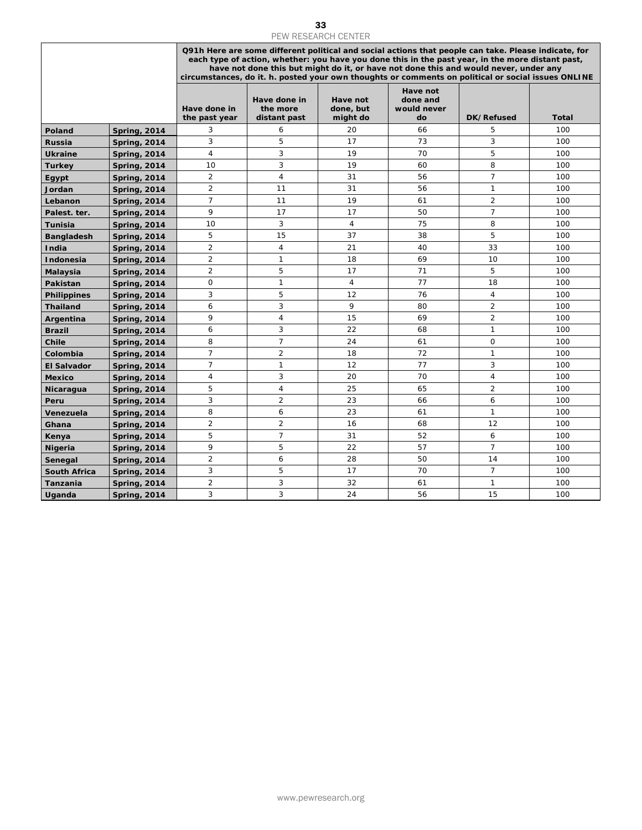|                         |                                            |                                  | <b>PEW RESEARCH CENTER</b><br>Q91h Here are some different political and social actions that people can take. Please indicate, for<br>each type of action, whether: you have you done this in the past year, in the more distant past,<br>have not done this but might do it, or have not done this and would never, under any<br>circumstances, do it. h. posted your own thoughts or comments on political or social issues ONLINE |                                   |                                           |                |            |  |  |
|-------------------------|--------------------------------------------|----------------------------------|--------------------------------------------------------------------------------------------------------------------------------------------------------------------------------------------------------------------------------------------------------------------------------------------------------------------------------------------------------------------------------------------------------------------------------------|-----------------------------------|-------------------------------------------|----------------|------------|--|--|
|                         |                                            | Have done in<br>the past year    | Have done in<br>the more<br>distant past                                                                                                                                                                                                                                                                                                                                                                                             | Have not<br>done, but<br>might do | Have not<br>done and<br>would never<br>do | DK/Refused     | Total      |  |  |
| Poland                  | <b>Spring, 2014</b>                        | 3                                | 6                                                                                                                                                                                                                                                                                                                                                                                                                                    | 20                                | 66                                        | 5              | 100        |  |  |
| <b>Russia</b>           | <b>Spring, 2014</b>                        | 3                                | 5                                                                                                                                                                                                                                                                                                                                                                                                                                    | 17                                | 73                                        | 3              | 100        |  |  |
| <b>Ukraine</b>          | <b>Spring, 2014</b>                        | $\overline{4}$                   | $\sqrt{3}$                                                                                                                                                                                                                                                                                                                                                                                                                           | 19                                | 70                                        | 5              | 100        |  |  |
| <b>Turkey</b>           | <b>Spring, 2014</b>                        | 10                               | $\sqrt{3}$                                                                                                                                                                                                                                                                                                                                                                                                                           | 19                                | 60                                        | 8              | 100        |  |  |
| Egypt                   | <b>Spring, 2014</b>                        | $\overline{2}$                   | $\overline{4}$                                                                                                                                                                                                                                                                                                                                                                                                                       | 31                                | 56                                        | $\overline{7}$ | 100        |  |  |
| Jordan                  | <b>Spring, 2014</b>                        | $\overline{2}$                   | 11                                                                                                                                                                                                                                                                                                                                                                                                                                   | 31                                | 56                                        | 1              | 100        |  |  |
| Lebanon                 | <b>Spring, 2014</b>                        | $\overline{7}$                   | 11                                                                                                                                                                                                                                                                                                                                                                                                                                   | 19                                | 61                                        | $\overline{2}$ | 100        |  |  |
| Palest. ter.            | <b>Spring, 2014</b>                        | 9                                | 17                                                                                                                                                                                                                                                                                                                                                                                                                                   | 17                                | 50                                        | $\overline{7}$ | 100        |  |  |
| <b>Tunisia</b>          | <b>Spring, 2014</b>                        | 10                               | 3                                                                                                                                                                                                                                                                                                                                                                                                                                    | $\overline{4}$                    | 75                                        | 8              | 100        |  |  |
| <b>Bangladesh</b>       | <b>Spring, 2014</b>                        | 5                                | 15                                                                                                                                                                                                                                                                                                                                                                                                                                   | 37                                | 38                                        | 5              | 100        |  |  |
| India                   | <b>Spring, 2014</b>                        | $\overline{2}$                   | $\overline{4}$                                                                                                                                                                                                                                                                                                                                                                                                                       | 21                                | 40                                        | 33             | 100        |  |  |
| Indonesia               | <b>Spring, 2014</b>                        | $\overline{2}$<br>$\overline{2}$ | $\mathbf{1}$<br>5                                                                                                                                                                                                                                                                                                                                                                                                                    | 18<br>17                          | 69<br>71                                  | 10<br>5        | 100<br>100 |  |  |
| Malaysia<br>Pakistan    | <b>Spring, 2014</b><br><b>Spring, 2014</b> | $\mathsf O$                      | $\mathbf{1}$                                                                                                                                                                                                                                                                                                                                                                                                                         | $\overline{4}$                    | 77                                        | 18             | 100        |  |  |
| <b>Philippines</b>      | <b>Spring, 2014</b>                        | 3                                | 5                                                                                                                                                                                                                                                                                                                                                                                                                                    | 12                                | 76                                        | 4              | 100        |  |  |
| <b>Thailand</b>         | <b>Spring, 2014</b>                        | 6                                | 3                                                                                                                                                                                                                                                                                                                                                                                                                                    | 9                                 | 80                                        | $\overline{2}$ | 100        |  |  |
| Argentina               | <b>Spring, 2014</b>                        | 9                                | $\overline{4}$                                                                                                                                                                                                                                                                                                                                                                                                                       | 15                                | 69                                        | $\overline{c}$ | 100        |  |  |
| <b>Brazil</b>           | <b>Spring, 2014</b>                        | 6                                | 3                                                                                                                                                                                                                                                                                                                                                                                                                                    | 22                                | 68                                        | $\mathbf{1}$   | 100        |  |  |
| Chile                   | <b>Spring, 2014</b>                        | 8                                | $\overline{7}$                                                                                                                                                                                                                                                                                                                                                                                                                       | 24                                | 61                                        | $\mathbf 0$    | 100        |  |  |
| Colombia                | <b>Spring, 2014</b>                        | $\overline{7}$                   | $\overline{2}$                                                                                                                                                                                                                                                                                                                                                                                                                       | 18                                | 72                                        | $\mathbf 1$    | 100        |  |  |
| <b>El Salvador</b>      | <b>Spring, 2014</b>                        | $\overline{7}$                   | $\mathbf{1}$                                                                                                                                                                                                                                                                                                                                                                                                                         | 12                                | 77                                        | 3              | 100        |  |  |
| <b>Mexico</b>           | <b>Spring, 2014</b>                        | $\overline{4}$                   | 3                                                                                                                                                                                                                                                                                                                                                                                                                                    | 20                                | 70                                        | $\sqrt{4}$     | 100        |  |  |
| Nicaragua               | <b>Spring, 2014</b>                        | 5                                | $\overline{4}$                                                                                                                                                                                                                                                                                                                                                                                                                       | 25                                | 65                                        | $\overline{a}$ | 100        |  |  |
| Peru                    | <b>Spring, 2014</b>                        | 3                                | $\overline{2}$                                                                                                                                                                                                                                                                                                                                                                                                                       | 23                                | 66                                        | 6              | 100        |  |  |
| Venezuela               | <b>Spring, 2014</b>                        | 8                                | 6                                                                                                                                                                                                                                                                                                                                                                                                                                    | 23                                | 61                                        | 1              | 100        |  |  |
| Ghana                   | <b>Spring, 2014</b>                        | 2<br>5                           | 2<br>$\overline{7}$                                                                                                                                                                                                                                                                                                                                                                                                                  | 16<br>31                          | 68<br>52                                  | 12<br>6        | 100<br>100 |  |  |
| Kenya<br><b>Nigeria</b> | <b>Spring, 2014</b><br><b>Spring, 2014</b> | 9                                | 5                                                                                                                                                                                                                                                                                                                                                                                                                                    | 22                                | 57                                        | $\overline{7}$ | 100        |  |  |
| Senegal                 | <b>Spring, 2014</b>                        | $\overline{2}$                   | 6                                                                                                                                                                                                                                                                                                                                                                                                                                    | 28                                | 50                                        | 14             | 100        |  |  |
| <b>South Africa</b>     | <b>Spring, 2014</b>                        | 3                                | 5                                                                                                                                                                                                                                                                                                                                                                                                                                    | 17                                | 70                                        | $\overline{7}$ | 100        |  |  |
| Tanzania                | <b>Spring, 2014</b>                        | $\overline{2}$                   | 3                                                                                                                                                                                                                                                                                                                                                                                                                                    | 32                                | 61                                        | $\mathbf{1}$   | 100        |  |  |
| Uganda                  | <b>Spring, 2014</b>                        | 3                                | 3                                                                                                                                                                                                                                                                                                                                                                                                                                    | 24                                | 56                                        | 15             | 100        |  |  |
|                         |                                            |                                  |                                                                                                                                                                                                                                                                                                                                                                                                                                      |                                   |                                           |                |            |  |  |
|                         |                                            |                                  |                                                                                                                                                                                                                                                                                                                                                                                                                                      |                                   |                                           |                |            |  |  |
|                         |                                            |                                  |                                                                                                                                                                                                                                                                                                                                                                                                                                      | www.pewresearch.org               |                                           |                |            |  |  |

33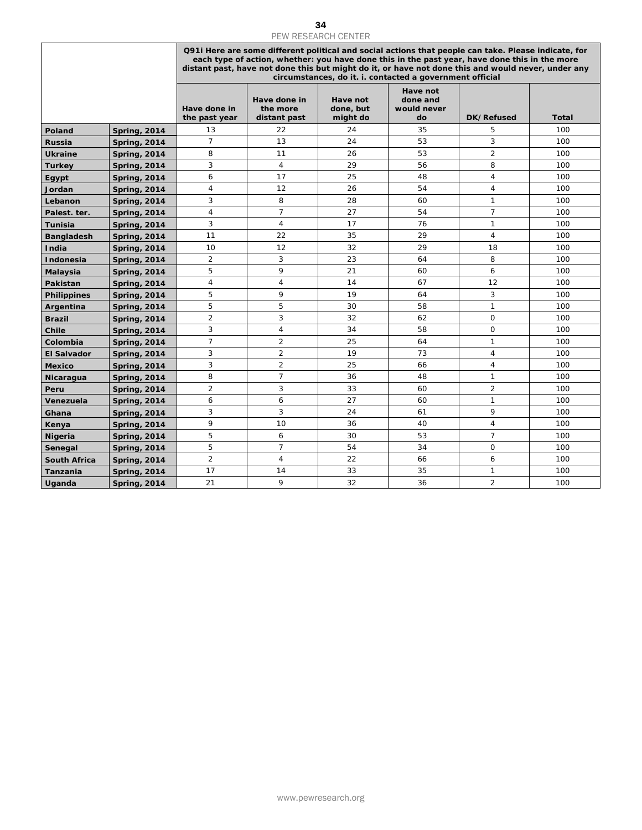|                            | 34<br>PEW RESEARCH CENTER                  |                               |                                          |                                   |                                                                                                                                                                                                                                                                                                                                                                         |                                  |              |  |
|----------------------------|--------------------------------------------|-------------------------------|------------------------------------------|-----------------------------------|-------------------------------------------------------------------------------------------------------------------------------------------------------------------------------------------------------------------------------------------------------------------------------------------------------------------------------------------------------------------------|----------------------------------|--------------|--|
|                            |                                            |                               |                                          |                                   | Q91i Here are some different political and social actions that people can take. Please indicate, for<br>each type of action, whether: you have done this in the past year, have done this in the more<br>distant past, have not done this but might do it, or have not done this and would never, under any<br>circumstances, do it. i. contacted a government official |                                  |              |  |
|                            |                                            | Have done in<br>the past year | Have done in<br>the more<br>distant past | Have not<br>done, but<br>might do | Have not<br>done and<br>would never<br>do                                                                                                                                                                                                                                                                                                                               | DK/Refused                       | <b>Total</b> |  |
| Poland                     | <b>Spring, 2014</b>                        | 13                            | 22                                       | 24                                | 35                                                                                                                                                                                                                                                                                                                                                                      | 5                                | 100          |  |
| <b>Russia</b>              | <b>Spring, 2014</b>                        | $\overline{7}$                | 13                                       | 24                                | 53                                                                                                                                                                                                                                                                                                                                                                      | 3                                | 100          |  |
| <b>Ukraine</b>             | <b>Spring, 2014</b>                        | 8                             | 11                                       | 26                                | 53                                                                                                                                                                                                                                                                                                                                                                      | $\overline{2}$                   | 100          |  |
| <b>Turkey</b>              | Spring, 2014                               | 3                             | 4                                        | 29                                | 56                                                                                                                                                                                                                                                                                                                                                                      | 8                                | 100          |  |
| Egypt                      | Spring, 2014                               | 6                             | 17                                       | 25                                | 48                                                                                                                                                                                                                                                                                                                                                                      | $\overline{4}$                   | 100          |  |
| Jordan                     | <b>Spring, 2014</b>                        | 4                             | 12                                       | 26                                | 54                                                                                                                                                                                                                                                                                                                                                                      | 4                                | 100          |  |
| Lebanon                    | <b>Spring, 2014</b>                        | 3                             | 8<br>$\overline{7}$                      | 28<br>27                          | 60<br>54                                                                                                                                                                                                                                                                                                                                                                | $\mathbf{1}$<br>$\overline{7}$   | 100          |  |
| Palest. ter.               | <b>Spring, 2014</b>                        | 4<br>3                        | 4                                        | 17                                | 76                                                                                                                                                                                                                                                                                                                                                                      | $\mathbf{1}$                     | 100<br>100   |  |
| Tunisia                    | <b>Spring, 2014</b><br><b>Spring, 2014</b> | 11                            | 22                                       | 35                                | 29                                                                                                                                                                                                                                                                                                                                                                      | 4                                | 100          |  |
| <b>Bangladesh</b><br>India | <b>Spring, 2014</b>                        | 10                            | 12                                       | 32                                | 29                                                                                                                                                                                                                                                                                                                                                                      | 18                               | 100          |  |
| Indonesia                  | <b>Spring, 2014</b>                        | $\overline{2}$                | 3                                        | 23                                | 64                                                                                                                                                                                                                                                                                                                                                                      | 8                                | 100          |  |
| Malaysia                   | <b>Spring, 2014</b>                        | 5                             | 9                                        | 21                                | 60                                                                                                                                                                                                                                                                                                                                                                      | 6                                | 100          |  |
| <b>Pakistan</b>            | <b>Spring, 2014</b>                        | $\overline{4}$                | 4                                        | 14                                | 67                                                                                                                                                                                                                                                                                                                                                                      | 12                               | 100          |  |
| <b>Philippines</b>         | Spring, 2014                               | 5                             | 9                                        | 19                                | 64                                                                                                                                                                                                                                                                                                                                                                      | 3                                | 100          |  |
| Argentina                  | <b>Spring, 2014</b>                        | 5                             | 5                                        | 30                                | 58                                                                                                                                                                                                                                                                                                                                                                      | $\mathbf{1}$                     | 100          |  |
| <b>Brazil</b>              | <b>Spring, 2014</b>                        | $\overline{2}$                | 3                                        | 32                                | 62                                                                                                                                                                                                                                                                                                                                                                      | 0                                | 100          |  |
| Chile                      | <b>Spring, 2014</b>                        | 3                             | 4                                        | 34                                | 58                                                                                                                                                                                                                                                                                                                                                                      | 0                                | 100          |  |
| Colombia                   | <b>Spring, 2014</b>                        | $\overline{7}$                | $\overline{2}$                           | 25                                | 64                                                                                                                                                                                                                                                                                                                                                                      | $\mathbf{1}$                     | 100          |  |
| <b>El Salvador</b>         | <b>Spring, 2014</b>                        | 3<br>3                        | $\overline{2}$<br>$\overline{2}$         | 19<br>25                          | 73<br>66                                                                                                                                                                                                                                                                                                                                                                | $\overline{4}$<br>$\overline{4}$ | 100<br>100   |  |
| <b>Mexico</b>              | <b>Spring, 2014</b>                        | 8                             | $\overline{7}$                           | 36                                | 48                                                                                                                                                                                                                                                                                                                                                                      | $\mathbf{1}$                     | 100          |  |
| Nicaragua<br>Peru          | <b>Spring, 2014</b><br><b>Spring, 2014</b> | $\overline{2}$                | 3                                        | 33                                | 60                                                                                                                                                                                                                                                                                                                                                                      | $\overline{2}$                   | 100          |  |
| Venezuela                  | <b>Spring, 2014</b>                        | 6                             | 6                                        | 27                                | 60                                                                                                                                                                                                                                                                                                                                                                      | $\mathbf{1}$                     | 100          |  |
| Ghana                      | <b>Spring, 2014</b>                        | 3                             | 3                                        | 24                                | 61                                                                                                                                                                                                                                                                                                                                                                      | 9                                | 100          |  |
| Kenya                      | <b>Spring, 2014</b>                        | 9                             | 10                                       | 36                                | 40                                                                                                                                                                                                                                                                                                                                                                      | 4                                | 100          |  |
| <b>Nigeria</b>             | Spring, 2014                               | 5                             | 6                                        | 30                                | 53                                                                                                                                                                                                                                                                                                                                                                      | $\overline{7}$                   | 100          |  |
| Senegal                    | <b>Spring, 2014</b>                        | 5                             | $\overline{7}$                           | 54                                | 34                                                                                                                                                                                                                                                                                                                                                                      | 0                                | 100          |  |
| <b>South Africa</b>        | <b>Spring, 2014</b>                        | $\overline{2}$                | $\overline{4}$                           | 22                                | 66                                                                                                                                                                                                                                                                                                                                                                      | 6                                | 100          |  |
| <b>Tanzania</b>            | Spring, 2014                               | 17<br>21                      | 14<br>9                                  | 33<br>32                          | 35<br>36                                                                                                                                                                                                                                                                                                                                                                | 1<br>$\overline{2}$              | 100<br>100   |  |
| <b>Uganda</b>              | <b>Spring, 2014</b>                        |                               |                                          |                                   |                                                                                                                                                                                                                                                                                                                                                                         |                                  |              |  |
|                            |                                            |                               |                                          |                                   |                                                                                                                                                                                                                                                                                                                                                                         |                                  |              |  |
|                            |                                            |                               |                                          | www.pewresearch.org               |                                                                                                                                                                                                                                                                                                                                                                         |                                  |              |  |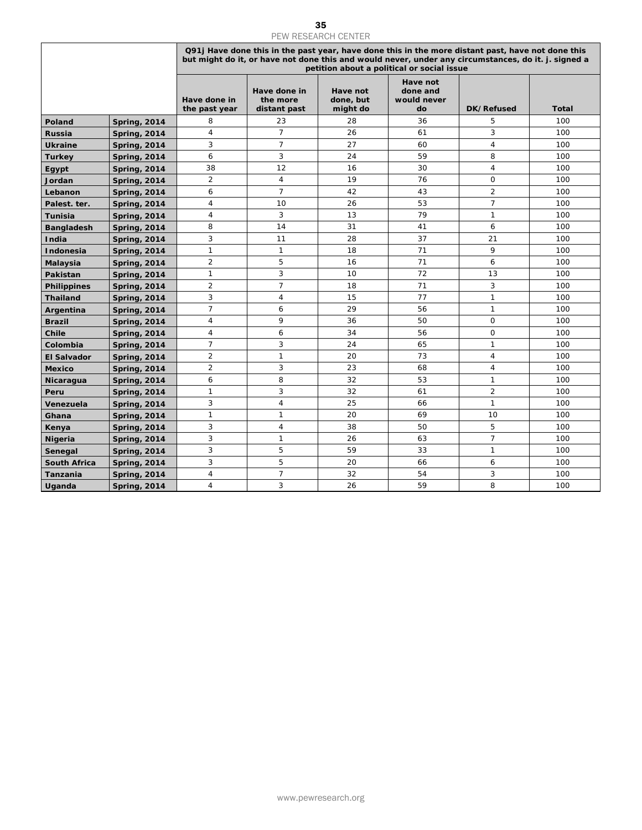## 35<br>PEW RESEARCH CENTER

| <b>PEW RESEARCH CENTER</b> |                                            |                               |                                          |                                   |                                            |                                                                                                                                                                                                          |            |  |
|----------------------------|--------------------------------------------|-------------------------------|------------------------------------------|-----------------------------------|--------------------------------------------|----------------------------------------------------------------------------------------------------------------------------------------------------------------------------------------------------------|------------|--|
|                            |                                            |                               |                                          |                                   | petition about a political or social issue | Q91j Have done this in the past year, have done this in the more distant past, have not done this<br>but might do it, or have not done this and would never, under any circumstances, do it. j. signed a |            |  |
|                            |                                            | Have done in<br>the past year | Have done in<br>the more<br>distant past | Have not<br>done, but<br>might do | Have not<br>done and<br>would never<br>do  | DK/Refused                                                                                                                                                                                               | Total      |  |
| Poland                     | <b>Spring, 2014</b>                        | 8                             | 23                                       | 28                                | 36                                         | 5                                                                                                                                                                                                        | 100        |  |
| Russia                     | <b>Spring, 2014</b>                        | 4                             | $\overline{7}$                           | 26                                | 61                                         | 3                                                                                                                                                                                                        | 100        |  |
| <b>Ukraine</b>             | <b>Spring, 2014</b>                        | 3                             | $\overline{7}$                           | 27                                | 60                                         | 4                                                                                                                                                                                                        | 100        |  |
| <b>Turkey</b>              | <b>Spring, 2014</b>                        | 6                             | 3                                        | 24                                | 59                                         | 8                                                                                                                                                                                                        | 100        |  |
| Egypt                      | <b>Spring, 2014</b>                        | 38                            | 12                                       | 16                                | 30                                         | 4                                                                                                                                                                                                        | 100        |  |
| Jordan                     | <b>Spring, 2014</b>                        | $\overline{2}$                | 4                                        | 19                                | 76                                         | 0                                                                                                                                                                                                        | 100        |  |
| Lebanon                    | <b>Spring, 2014</b>                        | 6                             | $\overline{7}$                           | 42                                | 43                                         | $\overline{2}$                                                                                                                                                                                           | 100        |  |
| Palest. ter.               | <b>Spring, 2014</b>                        | 4                             | 10                                       | 26                                | 53                                         | $\overline{7}$                                                                                                                                                                                           | 100        |  |
| <b>Tunisia</b>             | <b>Spring, 2014</b>                        | $\sqrt{4}$                    | 3                                        | 13                                | 79                                         | $\mathbf{1}$                                                                                                                                                                                             | 100        |  |
| <b>Bangladesh</b>          | <b>Spring, 2014</b>                        | 8                             | 14                                       | 31                                | 41                                         | 6                                                                                                                                                                                                        | 100        |  |
| India                      | <b>Spring, 2014</b>                        | 3                             | 11                                       | 28                                | 37                                         | 21                                                                                                                                                                                                       | 100        |  |
| Indonesia                  | <b>Spring, 2014</b>                        | 1                             | $\mathbf{1}$                             | 18                                | 71                                         | 9                                                                                                                                                                                                        | 100        |  |
| Malaysia                   | <b>Spring, 2014</b>                        | $\overline{c}$                | 5<br>3                                   | 16                                | 71                                         | 6                                                                                                                                                                                                        | 100        |  |
| Pakistan                   | <b>Spring, 2014</b>                        | 1<br>$\overline{c}$           | $\overline{7}$                           | 10<br>18                          | 72<br>71                                   | 13<br>3                                                                                                                                                                                                  | 100<br>100 |  |
| <b>Philippines</b>         | <b>Spring, 2014</b>                        | 3                             | $\overline{4}$                           | 15                                | 77                                         | $\mathbf{1}$                                                                                                                                                                                             | 100        |  |
| Thailand<br>Argentina      | <b>Spring, 2014</b><br><b>Spring, 2014</b> | 7                             | 6                                        | 29                                | 56                                         | $\mathbf{1}$                                                                                                                                                                                             | 100        |  |
| <b>Brazil</b>              | <b>Spring, 2014</b>                        | 4                             | 9                                        | 36                                | 50                                         | 0                                                                                                                                                                                                        | 100        |  |
| Chile                      | <b>Spring, 2014</b>                        | 4                             | 6                                        | 34                                | 56                                         | 0                                                                                                                                                                                                        | 100        |  |
| Colombia                   | <b>Spring, 2014</b>                        | 7                             | 3                                        | 24                                | 65                                         | $\mathbf{1}$                                                                                                                                                                                             | 100        |  |
| <b>El Salvador</b>         | <b>Spring, 2014</b>                        | $\overline{c}$                | 1                                        | 20                                | 73                                         | 4                                                                                                                                                                                                        | 100        |  |
| <b>Mexico</b>              | <b>Spring, 2014</b>                        | $\overline{c}$                | 3                                        | 23                                | 68                                         | 4                                                                                                                                                                                                        | 100        |  |
| Nicaragua                  | <b>Spring, 2014</b>                        | 6                             | 8                                        | 32                                | 53                                         | $\mathbf{1}$                                                                                                                                                                                             | 100        |  |
| Peru                       | <b>Spring, 2014</b>                        | 1                             | 3                                        | 32                                | 61                                         | $\overline{2}$                                                                                                                                                                                           | 100        |  |
| Venezuela                  | <b>Spring, 2014</b>                        | 3                             | $\overline{4}$                           | 25                                | 66                                         | $\mathbf{1}$                                                                                                                                                                                             | 100        |  |
| Ghana                      | <b>Spring, 2014</b>                        | 1                             | 1                                        | 20                                | 69                                         | 10                                                                                                                                                                                                       | 100        |  |
| Kenya                      | <b>Spring, 2014</b>                        | 3                             | 4                                        | 38                                | 50                                         | 5                                                                                                                                                                                                        | 100        |  |
| Nigeria                    | <b>Spring, 2014</b>                        | 3                             | $\mathbf{1}$                             | 26                                | 63                                         | $\overline{7}$                                                                                                                                                                                           | 100        |  |
| Senegal                    | <b>Spring, 2014</b>                        | 3                             | 5                                        | 59                                | 33                                         | 1                                                                                                                                                                                                        | 100        |  |
| <b>South Africa</b>        | <b>Spring, 2014</b>                        | 3                             | 5<br>$\overline{7}$                      | 20                                | 66                                         | 6                                                                                                                                                                                                        | 100        |  |
| Tanzania                   | <b>Spring, 2014</b>                        | 4<br>4                        | 3                                        | 32<br>26                          | 54<br>59                                   | 3<br>8                                                                                                                                                                                                   | 100<br>100 |  |
| Uganda                     | <b>Spring, 2014</b>                        |                               |                                          |                                   |                                            |                                                                                                                                                                                                          |            |  |
|                            |                                            |                               |                                          |                                   |                                            |                                                                                                                                                                                                          |            |  |
|                            |                                            |                               |                                          | www.pewresearch.org               |                                            |                                                                                                                                                                                                          |            |  |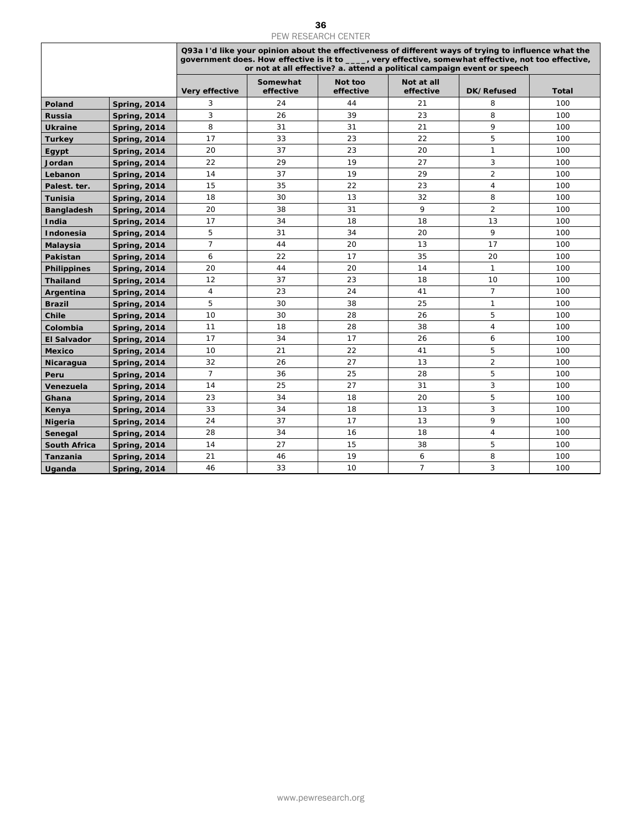|                     |                     |                |                                                                                                                                                                                                                                                                                         | PEW RESEARCH CENTER  |                         |                     |              |
|---------------------|---------------------|----------------|-----------------------------------------------------------------------------------------------------------------------------------------------------------------------------------------------------------------------------------------------------------------------------------------|----------------------|-------------------------|---------------------|--------------|
|                     |                     |                | Q93a I'd like your opinion about the effectiveness of different ways of trying to influence what the<br>government does. How effective is it to ____, very effective, somewhat effective, not too effective,<br>or not at all effective? a. attend a political campaign event or speech |                      |                         |                     |              |
|                     |                     | Very effective | Somewhat<br>effective                                                                                                                                                                                                                                                                   | Not too<br>effective | Not at all<br>effective | DK/Refused          | <b>Total</b> |
| Poland              | <b>Spring, 2014</b> | 3              | 24                                                                                                                                                                                                                                                                                      | 44                   | 21                      | 8                   | 100          |
| Russia              | <b>Spring, 2014</b> | 3              | 26                                                                                                                                                                                                                                                                                      | 39                   | 23                      | 8                   | 100          |
| <b>Ukraine</b>      | <b>Spring, 2014</b> | 8              | 31                                                                                                                                                                                                                                                                                      | 31                   | 21                      | 9                   | 100          |
| <b>Turkey</b>       | <b>Spring, 2014</b> | 17             | 33                                                                                                                                                                                                                                                                                      | 23                   | 22                      | 5                   | 100          |
| Egypt               | <b>Spring, 2014</b> | 20             | 37                                                                                                                                                                                                                                                                                      | 23                   | 20                      | $\mathbf{1}$        | 100          |
| Jordan              | <b>Spring, 2014</b> | 22             | 29                                                                                                                                                                                                                                                                                      | 19                   | 27                      | 3                   | 100          |
| Lebanon             |                     | 14             | 37                                                                                                                                                                                                                                                                                      | 19                   | 29                      | $\overline{2}$      | 100          |
|                     | <b>Spring, 2014</b> |                | 35                                                                                                                                                                                                                                                                                      | 22                   | 23                      | $\overline{4}$      |              |
| Palest. ter.        | <b>Spring, 2014</b> | 15             |                                                                                                                                                                                                                                                                                         |                      |                         |                     | 100          |
| Tunisia             | <b>Spring, 2014</b> | 18             | 30                                                                                                                                                                                                                                                                                      | 13                   | 32<br>9                 | 8<br>$\overline{2}$ | 100          |
| <b>Bangladesh</b>   | <b>Spring, 2014</b> | 20             | 38                                                                                                                                                                                                                                                                                      | 31                   |                         |                     | 100          |
| India               | <b>Spring, 2014</b> | 17             | 34                                                                                                                                                                                                                                                                                      | 18                   | 18                      | 13                  | 100          |
| Indonesia           | <b>Spring, 2014</b> | 5              | 31                                                                                                                                                                                                                                                                                      | 34                   | 20                      | 9                   | 100          |
| Malaysia            | <b>Spring, 2014</b> | $\overline{7}$ | 44                                                                                                                                                                                                                                                                                      | 20                   | 13                      | 17                  | 100          |
| Pakistan            | <b>Spring, 2014</b> | 6              | 22                                                                                                                                                                                                                                                                                      | 17                   | 35                      | 20                  | 100          |
| <b>Philippines</b>  | <b>Spring, 2014</b> | 20             | 44                                                                                                                                                                                                                                                                                      | 20                   | 14                      | $\mathbf{1}$        | 100          |
| <b>Thailand</b>     | <b>Spring, 2014</b> | 12             | 37                                                                                                                                                                                                                                                                                      | 23                   | 18                      | 10                  | 100          |
| Argentina           | <b>Spring, 2014</b> | 4              | 23                                                                                                                                                                                                                                                                                      | 24                   | 41                      | $\overline{7}$      | 100          |
| <b>Brazil</b>       | <b>Spring, 2014</b> | 5              | 30                                                                                                                                                                                                                                                                                      | 38                   | 25                      | $\mathbf{1}$        | 100          |
| Chile               | <b>Spring, 2014</b> | 10             | 30                                                                                                                                                                                                                                                                                      | 28                   | 26                      | 5                   | 100          |
| Colombia            | <b>Spring, 2014</b> | 11             | 18                                                                                                                                                                                                                                                                                      | 28                   | 38                      | 4                   | 100          |
| <b>El Salvador</b>  | <b>Spring, 2014</b> | 17             | 34                                                                                                                                                                                                                                                                                      | 17                   | 26                      | 6                   | 100          |
| <b>Mexico</b>       | <b>Spring, 2014</b> | 10             | 21                                                                                                                                                                                                                                                                                      | 22                   | 41                      | 5                   | 100          |
| Nicaragua           | <b>Spring, 2014</b> | 32             | 26                                                                                                                                                                                                                                                                                      | 27                   | 13                      | $\overline{2}$      | 100          |
| Peru                | <b>Spring, 2014</b> | $\overline{7}$ | 36                                                                                                                                                                                                                                                                                      | 25                   | 28                      | 5                   | 100          |
| Venezuela           | <b>Spring, 2014</b> | 14             | 25                                                                                                                                                                                                                                                                                      | 27                   | 31                      | $\overline{3}$      | 100          |
| Ghana               | <b>Spring, 2014</b> | 23             | 34                                                                                                                                                                                                                                                                                      | 18                   | 20                      | 5                   | 100          |
| Kenya               | <b>Spring, 2014</b> | 33             | 34                                                                                                                                                                                                                                                                                      | 18                   | 13                      | 3                   | 100          |
| <b>Nigeria</b>      | <b>Spring, 2014</b> | 24             | 37                                                                                                                                                                                                                                                                                      | 17                   | 13                      | 9                   | 100          |
| Senegal             | <b>Spring, 2014</b> | 28             | 34                                                                                                                                                                                                                                                                                      | 16                   | 18                      | 4                   | 100          |
| <b>South Africa</b> | <b>Spring, 2014</b> | 14             | 27                                                                                                                                                                                                                                                                                      | 15                   | 38                      | 5                   | 100          |
| Tanzania            | <b>Spring, 2014</b> | 21             | 46                                                                                                                                                                                                                                                                                      | 19                   | 6                       | 8                   | 100          |
| Uganda              | <b>Spring, 2014</b> | 46             | 33                                                                                                                                                                                                                                                                                      | 10                   | $\overline{7}$          | 3                   | 100          |
|                     |                     |                |                                                                                                                                                                                                                                                                                         |                      |                         |                     |              |
|                     |                     |                |                                                                                                                                                                                                                                                                                         |                      |                         |                     |              |
|                     |                     |                |                                                                                                                                                                                                                                                                                         | www.pewresearch.org  |                         |                     |              |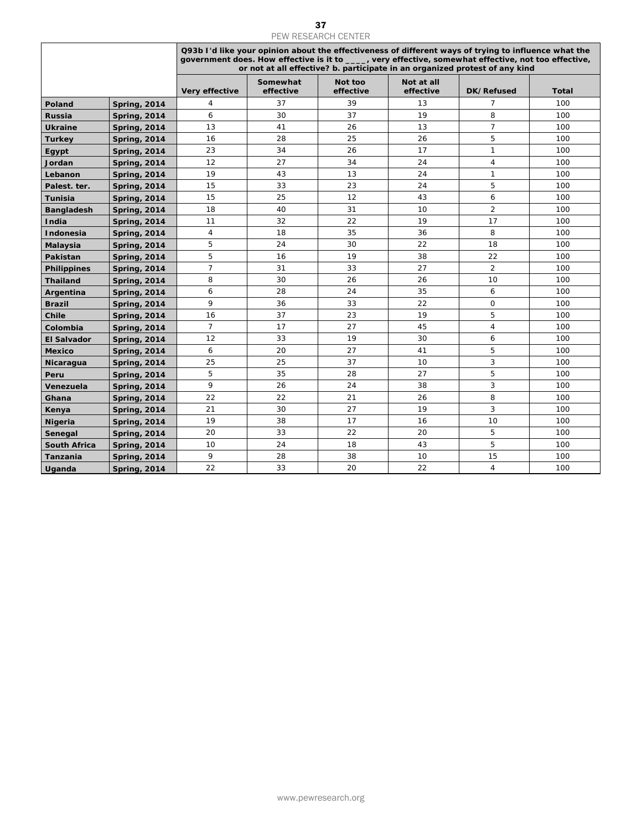|                     |                     |                |                                                                                                                                                                                                                                                                                             | PEW RESEARCH CENTER  |                         |                |              |
|---------------------|---------------------|----------------|---------------------------------------------------------------------------------------------------------------------------------------------------------------------------------------------------------------------------------------------------------------------------------------------|----------------------|-------------------------|----------------|--------------|
|                     |                     |                | Q93b I'd like your opinion about the effectiveness of different ways of trying to influence what the<br>government does. How effective is it to ____, very effective, somewhat effective, not too effective,<br>or not at all effective? b. participate in an organized protest of any kind |                      |                         |                |              |
|                     |                     | Very effective | Somewhat<br>effective                                                                                                                                                                                                                                                                       | Not too<br>effective | Not at all<br>effective | DK/Refused     | <b>Total</b> |
| Poland              | <b>Spring, 2014</b> | 4              | 37                                                                                                                                                                                                                                                                                          | 39                   | 13                      | 7              | 100          |
| Russia              | <b>Spring, 2014</b> | 6              | 30                                                                                                                                                                                                                                                                                          | 37                   | 19                      | 8              | 100          |
| <b>Ukraine</b>      | <b>Spring, 2014</b> | 13             | 41                                                                                                                                                                                                                                                                                          | 26                   | 13                      | $\overline{7}$ | 100          |
| <b>Turkey</b>       | <b>Spring, 2014</b> | 16             | 28                                                                                                                                                                                                                                                                                          | 25                   | 26                      | 5              | 100          |
| Egypt               | <b>Spring, 2014</b> | 23             | 34                                                                                                                                                                                                                                                                                          | 26                   | 17                      | $\mathbf{1}$   | 100          |
| Jordan              | <b>Spring, 2014</b> | 12             | 27                                                                                                                                                                                                                                                                                          | 34                   | 24                      | 4              | 100          |
| Lebanon             | <b>Spring, 2014</b> | 19             | 43                                                                                                                                                                                                                                                                                          | 13                   | 24                      | 1              | 100          |
| Palest. ter.        | <b>Spring, 2014</b> | 15             | 33                                                                                                                                                                                                                                                                                          | 23                   | 24                      | 5              | 100          |
| Tunisia             | <b>Spring, 2014</b> | 15             | 25                                                                                                                                                                                                                                                                                          | 12                   | 43                      | 6              | 100          |
| <b>Bangladesh</b>   | <b>Spring, 2014</b> | 18             | 40                                                                                                                                                                                                                                                                                          | 31                   | 10                      | $\overline{2}$ | 100          |
| India               | <b>Spring, 2014</b> | 11             | 32                                                                                                                                                                                                                                                                                          | 22                   | 19                      | 17             | 100          |
|                     |                     | 4              | 18                                                                                                                                                                                                                                                                                          | 35                   | 36                      | 8              | 100          |
| Indonesia           | <b>Spring, 2014</b> |                |                                                                                                                                                                                                                                                                                             |                      |                         |                |              |
| <b>Malaysia</b>     | <b>Spring, 2014</b> | 5              | 24                                                                                                                                                                                                                                                                                          | 30                   | 22                      | 18             | 100          |
| Pakistan            | <b>Spring, 2014</b> | 5              | 16                                                                                                                                                                                                                                                                                          | 19                   | 38                      | 22             | 100          |
| <b>Philippines</b>  | <b>Spring, 2014</b> | 7              | 31                                                                                                                                                                                                                                                                                          | 33                   | 27                      | 2              | 100          |
| <b>Thailand</b>     | <b>Spring, 2014</b> | 8              | 30                                                                                                                                                                                                                                                                                          | 26                   | 26                      | 10             | 100          |
| Argentina           | <b>Spring, 2014</b> | 6              | 28                                                                                                                                                                                                                                                                                          | 24                   | 35                      | 6              | 100          |
| <b>Brazil</b>       | <b>Spring, 2014</b> | 9              | 36                                                                                                                                                                                                                                                                                          | 33                   | 22                      | $\mathsf O$    | 100          |
| Chile               | <b>Spring, 2014</b> | 16             | 37                                                                                                                                                                                                                                                                                          | 23                   | 19                      | 5              | 100          |
| Colombia            | <b>Spring, 2014</b> | $\overline{7}$ | 17                                                                                                                                                                                                                                                                                          | 27                   | 45                      | 4              | 100          |
| <b>El Salvador</b>  | <b>Spring, 2014</b> | 12             | 33                                                                                                                                                                                                                                                                                          | 19                   | 30                      | 6              | 100          |
| <b>Mexico</b>       | <b>Spring, 2014</b> | 6              | 20                                                                                                                                                                                                                                                                                          | 27                   | 41                      | 5              | 100          |
| Nicaragua           | <b>Spring, 2014</b> | 25             | 25                                                                                                                                                                                                                                                                                          | 37                   | 10                      | 3              | 100          |
| Peru                | <b>Spring, 2014</b> | 5              | 35                                                                                                                                                                                                                                                                                          | 28                   | 27                      | 5              | 100          |
| Venezuela           | <b>Spring, 2014</b> | 9              | 26                                                                                                                                                                                                                                                                                          | 24                   | 38                      | $\overline{3}$ | 100          |
| Ghana               | <b>Spring, 2014</b> | 22             | 22                                                                                                                                                                                                                                                                                          | 21                   | 26                      | 8              | 100          |
| Kenya               | <b>Spring, 2014</b> | 21             | 30                                                                                                                                                                                                                                                                                          | 27                   | 19                      | 3              | 100          |
| <b>Nigeria</b>      | <b>Spring, 2014</b> | 19             | 38                                                                                                                                                                                                                                                                                          | 17                   | 16                      | 10             | 100          |
| Senegal             | <b>Spring, 2014</b> | 20             | 33                                                                                                                                                                                                                                                                                          | 22                   | 20                      | 5              | 100          |
| <b>South Africa</b> | <b>Spring, 2014</b> | 10             | 24                                                                                                                                                                                                                                                                                          | 18                   | 43                      | 5              | 100          |
| Tanzania            | <b>Spring, 2014</b> | 9<br>22        | 28<br>33                                                                                                                                                                                                                                                                                    | 38<br>20             | 10<br>22                | 15             | 100          |
| Uganda              | <b>Spring, 2014</b> |                |                                                                                                                                                                                                                                                                                             |                      |                         | $\overline{4}$ | 100          |
|                     |                     |                |                                                                                                                                                                                                                                                                                             |                      |                         |                |              |
|                     |                     |                |                                                                                                                                                                                                                                                                                             |                      |                         |                |              |
|                     |                     |                |                                                                                                                                                                                                                                                                                             | www.pewresearch.org  |                         |                |              |

## 37<br>PEW RESEARCH CENTER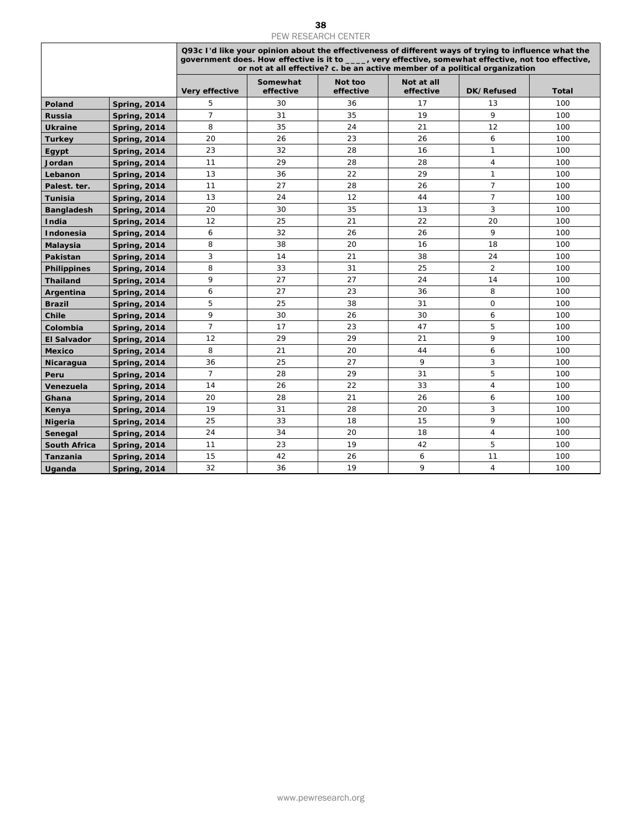|                     |                     |                |                       | PEW RESEARCH CENTER  |                         |                                                                                                                                                                                                                                                                                             |              |
|---------------------|---------------------|----------------|-----------------------|----------------------|-------------------------|---------------------------------------------------------------------------------------------------------------------------------------------------------------------------------------------------------------------------------------------------------------------------------------------|--------------|
|                     |                     |                |                       |                      |                         | Q93c I'd like your opinion about the effectiveness of different ways of trying to influence what the<br>government does. How effective is it to ____, very effective, somewhat effective, not too effective,<br>or not at all effective? c. be an active member of a political organization |              |
|                     |                     | Very effective | Somewhat<br>effective | Not too<br>effective | Not at all<br>effective | DK/Refused                                                                                                                                                                                                                                                                                  | <b>Total</b> |
| Poland              | <b>Spring, 2014</b> | 5              | 30                    | 36                   | 17                      | 13                                                                                                                                                                                                                                                                                          | 100          |
| Russia              | <b>Spring, 2014</b> | $\overline{7}$ | 31                    | 35                   | 19                      | 9                                                                                                                                                                                                                                                                                           | 100          |
| <b>Ukraine</b>      | <b>Spring, 2014</b> | 8              | 35                    | 24                   | 21                      | 12                                                                                                                                                                                                                                                                                          | 100          |
| <b>Turkey</b>       | <b>Spring, 2014</b> | 20             | 26                    | 23                   | 26                      | 6                                                                                                                                                                                                                                                                                           | 100          |
| Egypt               | <b>Spring, 2014</b> | 23             | 32                    | 28                   | 16                      | $\mathbf{1}$                                                                                                                                                                                                                                                                                | 100          |
| Jordan              | <b>Spring, 2014</b> | 11             | 29                    | 28                   | 28                      | 4                                                                                                                                                                                                                                                                                           | 100          |
| Lebanon             | <b>Spring, 2014</b> | 13             | 36                    | 22                   | 29                      | $\mathbf{1}$                                                                                                                                                                                                                                                                                | 100          |
| Palest. ter.        | <b>Spring, 2014</b> | 11             | 27                    | 28                   | 26                      | $\overline{7}$                                                                                                                                                                                                                                                                              | 100          |
| Tunisia             | <b>Spring, 2014</b> | 13             | 24                    | 12                   | 44                      | $\overline{7}$                                                                                                                                                                                                                                                                              | 100          |
| <b>Bangladesh</b>   | <b>Spring, 2014</b> | 20             | 30                    | 35                   | 13                      | 3                                                                                                                                                                                                                                                                                           | 100          |
| India               |                     | 12             | 25                    | 21                   | 22                      | 20                                                                                                                                                                                                                                                                                          | 100          |
|                     | <b>Spring, 2014</b> | 6              | 32                    | 26                   | 26                      | 9                                                                                                                                                                                                                                                                                           | 100          |
| Indonesia           | <b>Spring, 2014</b> |                |                       |                      |                         |                                                                                                                                                                                                                                                                                             |              |
| <b>Malaysia</b>     | <b>Spring, 2014</b> | 8              | 38                    | 20                   | 16                      | 18                                                                                                                                                                                                                                                                                          | 100          |
| Pakistan            | <b>Spring, 2014</b> | 3              | 14                    | 21                   | 38                      | 24                                                                                                                                                                                                                                                                                          | 100          |
| <b>Philippines</b>  | <b>Spring, 2014</b> | 8              | 33                    | 31                   | 25                      | 2                                                                                                                                                                                                                                                                                           | 100          |
| <b>Thailand</b>     | <b>Spring, 2014</b> | 9              | 27                    | 27                   | 24                      | 14                                                                                                                                                                                                                                                                                          | 100          |
| Argentina           | <b>Spring, 2014</b> | 6              | 27                    | 23                   | 36                      | 8                                                                                                                                                                                                                                                                                           | 100          |
| <b>Brazil</b>       | <b>Spring, 2014</b> | 5              | 25                    | 38                   | 31                      | $\mathsf{O}$                                                                                                                                                                                                                                                                                | 100          |
| Chile               | <b>Spring, 2014</b> | 9              | 30                    | 26                   | 30                      | 6                                                                                                                                                                                                                                                                                           | 100          |
| Colombia            | <b>Spring, 2014</b> | $\overline{7}$ | 17                    | 23                   | 47                      | 5                                                                                                                                                                                                                                                                                           | 100          |
| <b>El Salvador</b>  | <b>Spring, 2014</b> | 12             | 29                    | 29                   | 21                      | 9                                                                                                                                                                                                                                                                                           | 100          |
| <b>Mexico</b>       | <b>Spring, 2014</b> | 8              | 21                    | 20                   | 44                      | 6                                                                                                                                                                                                                                                                                           | 100          |
| Nicaragua           | <b>Spring, 2014</b> | 36             | 25                    | 27                   | 9                       | 3                                                                                                                                                                                                                                                                                           | 100          |
| Peru                | <b>Spring, 2014</b> | $\overline{7}$ | 28                    | 29<br>22             | 31                      | 5                                                                                                                                                                                                                                                                                           | 100          |
| Venezuela           | <b>Spring, 2014</b> | 14             | 26                    |                      | 33                      | $\overline{4}$                                                                                                                                                                                                                                                                              | 100          |
| Ghana               | <b>Spring, 2014</b> | 20             | 28                    | 21                   | 26                      | 6                                                                                                                                                                                                                                                                                           | 100          |
| Kenya               | <b>Spring, 2014</b> | 19             | 31                    | 28                   | 20                      | 3<br>9                                                                                                                                                                                                                                                                                      | 100          |
| <b>Nigeria</b>      | <b>Spring, 2014</b> | 25             | 33<br>34              | 18<br>20             | 15<br>18                | 4                                                                                                                                                                                                                                                                                           | 100<br>100   |
| Senegal             | <b>Spring, 2014</b> | 24<br>11       | 23                    | 19                   | 42                      | 5                                                                                                                                                                                                                                                                                           | 100          |
| <b>South Africa</b> | <b>Spring, 2014</b> | 15             | 42                    | 26                   | 6                       | 11                                                                                                                                                                                                                                                                                          | 100          |
| Tanzania            | <b>Spring, 2014</b> | 32             | 36                    | 19                   | 9                       | $\overline{4}$                                                                                                                                                                                                                                                                              | 100          |
| Uganda              | <b>Spring, 2014</b> |                |                       |                      |                         |                                                                                                                                                                                                                                                                                             |              |
|                     |                     |                |                       |                      |                         |                                                                                                                                                                                                                                                                                             |              |
|                     |                     |                |                       |                      |                         |                                                                                                                                                                                                                                                                                             |              |
|                     |                     |                |                       | www.pewresearch.org  |                         |                                                                                                                                                                                                                                                                                             |              |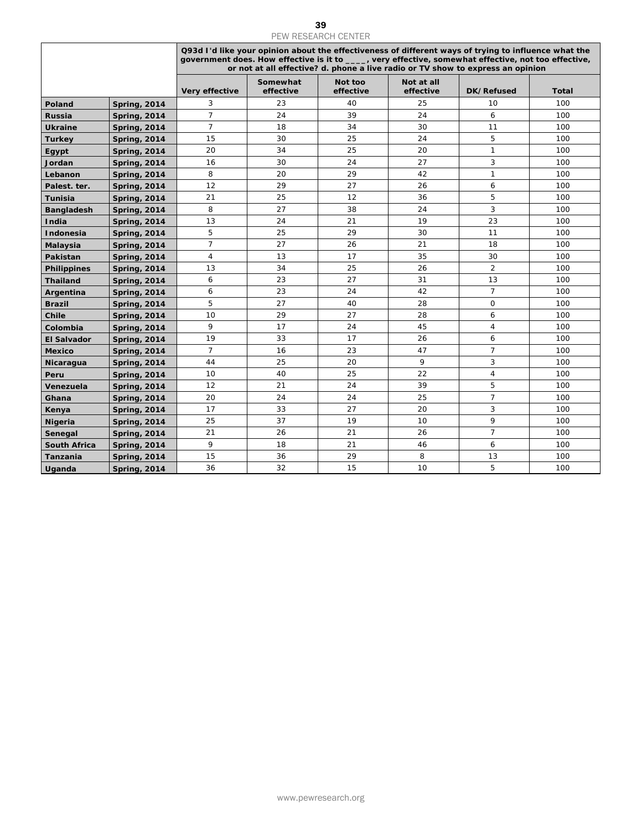|                     |                     |                |                       | PEW RESEARCH CENTER  |                                                                                                                                                                                                                                                                                                 |                |              |
|---------------------|---------------------|----------------|-----------------------|----------------------|-------------------------------------------------------------------------------------------------------------------------------------------------------------------------------------------------------------------------------------------------------------------------------------------------|----------------|--------------|
|                     |                     |                |                       |                      | Q93d I'd like your opinion about the effectiveness of different ways of trying to influence what the<br>government does. How effective is it to ____, very effective, somewhat effective, not too effective,<br>or not at all effective? d. phone a live radio or TV show to express an opinion |                |              |
|                     |                     | Very effective | Somewhat<br>effective | Not too<br>effective | Not at all<br>effective                                                                                                                                                                                                                                                                         | DK/Refused     | <b>Total</b> |
| Poland              | <b>Spring, 2014</b> | 3              | 23                    | 40                   | 25                                                                                                                                                                                                                                                                                              | 10             | 100          |
| Russia              | <b>Spring, 2014</b> | $\overline{7}$ | 24                    | 39                   | 24                                                                                                                                                                                                                                                                                              | 6              | 100          |
| <b>Ukraine</b>      | <b>Spring, 2014</b> | $\overline{7}$ | 18                    | 34                   | 30                                                                                                                                                                                                                                                                                              | 11             | 100          |
| <b>Turkey</b>       | <b>Spring, 2014</b> | 15             | 30                    | 25                   | 24                                                                                                                                                                                                                                                                                              | 5              | 100          |
| Egypt               | <b>Spring, 2014</b> | 20             | 34                    | 25                   | 20                                                                                                                                                                                                                                                                                              | $\mathbf{1}$   | 100          |
| Jordan              | <b>Spring, 2014</b> | 16             | 30                    | 24                   | 27                                                                                                                                                                                                                                                                                              | 3              | 100          |
| Lebanon             | <b>Spring, 2014</b> | 8              | 20                    | 29                   | 42                                                                                                                                                                                                                                                                                              | $\mathbf{1}$   | 100          |
| Palest. ter.        | <b>Spring, 2014</b> | 12             | 29                    | 27                   | 26                                                                                                                                                                                                                                                                                              | 6              | 100          |
|                     |                     | 21             | 25                    | 12                   | 36                                                                                                                                                                                                                                                                                              | $\sqrt{5}$     | 100          |
| <b>Tunisia</b>      | <b>Spring, 2014</b> | 8              | 27                    | 38                   | 24                                                                                                                                                                                                                                                                                              | $\sqrt{3}$     | 100          |
| <b>Bangladesh</b>   | <b>Spring, 2014</b> |                |                       |                      |                                                                                                                                                                                                                                                                                                 |                |              |
| India               | <b>Spring, 2014</b> | 13             | 24                    | 21                   | 19                                                                                                                                                                                                                                                                                              | 23             | 100          |
| Indonesia           | <b>Spring, 2014</b> | $\sqrt{5}$     | 25                    | 29                   | 30                                                                                                                                                                                                                                                                                              | 11             | 100          |
| Malaysia            | <b>Spring, 2014</b> | $\overline{7}$ | 27                    | 26                   | 21                                                                                                                                                                                                                                                                                              | 18             | 100          |
| Pakistan            | <b>Spring, 2014</b> | $\overline{4}$ | 13                    | 17                   | 35                                                                                                                                                                                                                                                                                              | 30             | 100          |
| <b>Philippines</b>  | <b>Spring, 2014</b> | 13             | 34                    | 25                   | 26                                                                                                                                                                                                                                                                                              | $\overline{2}$ | 100          |
| <b>Thailand</b>     | <b>Spring, 2014</b> | 6              | 23                    | 27                   | 31                                                                                                                                                                                                                                                                                              | 13             | 100          |
| Argentina           | <b>Spring, 2014</b> | 6              | 23                    | 24                   | 42                                                                                                                                                                                                                                                                                              | $\overline{7}$ | 100          |
| <b>Brazil</b>       | <b>Spring, 2014</b> | 5              | 27                    | 40                   | 28                                                                                                                                                                                                                                                                                              | $\mathsf O$    | 100          |
| Chile               | <b>Spring, 2014</b> | 10             | 29                    | 27                   | 28                                                                                                                                                                                                                                                                                              | 6              | 100          |
| Colombia            | <b>Spring, 2014</b> | 9              | 17                    | 24                   | 45                                                                                                                                                                                                                                                                                              | $\overline{4}$ | 100          |
| <b>El Salvador</b>  | <b>Spring, 2014</b> | 19             | 33                    | 17                   | 26                                                                                                                                                                                                                                                                                              | 6              | 100          |
| <b>Mexico</b>       | <b>Spring, 2014</b> | $\overline{7}$ | 16                    | 23                   | 47                                                                                                                                                                                                                                                                                              | $\overline{7}$ | 100          |
| Nicaragua           | <b>Spring, 2014</b> | 44             | 25                    | 20                   | 9                                                                                                                                                                                                                                                                                               | 3              | 100          |
|                     |                     | 10             | 40                    | 25                   | 22                                                                                                                                                                                                                                                                                              | $\overline{4}$ | 100          |
| Peru                | <b>Spring, 2014</b> | 12             | 21                    | 24                   | 39                                                                                                                                                                                                                                                                                              | 5              | 100          |
| Venezuela           | <b>Spring, 2014</b> |                |                       |                      |                                                                                                                                                                                                                                                                                                 | $\overline{7}$ |              |
| Ghana               | <b>Spring, 2014</b> | 20             | 24                    | 24                   | 25                                                                                                                                                                                                                                                                                              |                | 100          |
| Kenya               | <b>Spring, 2014</b> | 17             | 33                    | 27                   | 20                                                                                                                                                                                                                                                                                              | 3              | 100          |
| <b>Nigeria</b>      | <b>Spring, 2014</b> | 25             | 37                    | 19                   | 10                                                                                                                                                                                                                                                                                              | 9              | 100          |
| Senegal             | <b>Spring, 2014</b> | 21             | 26                    | 21                   | 26                                                                                                                                                                                                                                                                                              | $\overline{7}$ | 100          |
| <b>South Africa</b> | <b>Spring, 2014</b> | 9              | 18                    | 21                   | 46                                                                                                                                                                                                                                                                                              | 6              | 100          |
| Tanzania            | <b>Spring, 2014</b> | 15             | 36                    | 29                   | 8                                                                                                                                                                                                                                                                                               | 13             | 100          |
| Uganda              | <b>Spring, 2014</b> | 36             | 32                    | 15                   | 10                                                                                                                                                                                                                                                                                              | 5              | 100          |
|                     |                     |                |                       |                      |                                                                                                                                                                                                                                                                                                 |                |              |
|                     |                     |                |                       | www.pewresearch.org  |                                                                                                                                                                                                                                                                                                 |                |              |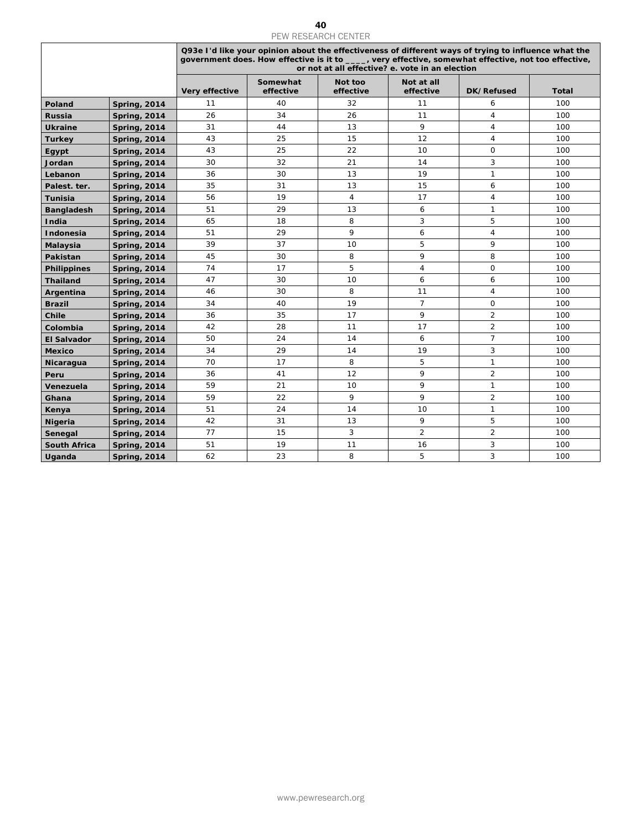|                    |                     |                |                       | PEW RESEARCH CENTER                                                                                                                                                                                                                                             |                         |                     |              |  |
|--------------------|---------------------|----------------|-----------------------|-----------------------------------------------------------------------------------------------------------------------------------------------------------------------------------------------------------------------------------------------------------------|-------------------------|---------------------|--------------|--|
|                    |                     |                |                       | Q93e I'd like your opinion about the effectiveness of different ways of trying to influence what the<br>government does. How effective is it to ____, very effective, somewhat effective, not too effective,<br>or not at all effective? e. vote in an election |                         |                     |              |  |
|                    |                     | Very effective | Somewhat<br>effective | Not too<br>effective                                                                                                                                                                                                                                            | Not at all<br>effective | DK/Refused          | <b>Total</b> |  |
| Poland             | <b>Spring, 2014</b> | 11             | 40                    | 32                                                                                                                                                                                                                                                              | 11                      | 6                   | 100          |  |
| Russia             | <b>Spring, 2014</b> | 26             | 34                    | 26                                                                                                                                                                                                                                                              | 11                      | $\overline{4}$      | 100          |  |
| <b>Ukraine</b>     | <b>Spring, 2014</b> | 31             | 44                    | 13                                                                                                                                                                                                                                                              | 9                       | $\overline{4}$      | 100          |  |
| <b>Turkey</b>      | <b>Spring, 2014</b> | 43             | 25                    | 15                                                                                                                                                                                                                                                              | 12                      | 4                   | 100          |  |
| Egypt              | <b>Spring, 2014</b> | 43             | 25                    | 22                                                                                                                                                                                                                                                              | 10                      | $\mathsf{O}\xspace$ | 100          |  |
| Jordan             | <b>Spring, 2014</b> | 30             | 32                    | 21                                                                                                                                                                                                                                                              | 14                      | 3                   | 100          |  |
| Lebanon            | <b>Spring, 2014</b> | 36             | 30                    | 13                                                                                                                                                                                                                                                              | 19                      | $\mathbf{1}$        | 100          |  |
| Palest. ter.       | <b>Spring, 2014</b> | 35             | 31                    | 13                                                                                                                                                                                                                                                              | 15                      | 6                   | 100          |  |
| <b>Tunisia</b>     | <b>Spring, 2014</b> | 56             | 19                    | 4                                                                                                                                                                                                                                                               | 17                      | $\overline{4}$      | 100          |  |
|                    |                     | 51             | 29                    | 13                                                                                                                                                                                                                                                              | 6                       | $\mathbf{1}$        | 100          |  |
| <b>Bangladesh</b>  | <b>Spring, 2014</b> | 65             |                       | 8                                                                                                                                                                                                                                                               | 3                       | 5                   |              |  |
| India              | <b>Spring, 2014</b> |                | 18                    |                                                                                                                                                                                                                                                                 |                         |                     | 100          |  |
| Indonesia          | <b>Spring, 2014</b> | 51             | 29                    | 9                                                                                                                                                                                                                                                               | 6                       | $\overline{4}$      | 100          |  |
| Malaysia           | <b>Spring, 2014</b> | 39             | 37                    | 10                                                                                                                                                                                                                                                              | 5                       | 9                   | 100          |  |
| Pakistan           | <b>Spring, 2014</b> | 45             | 30                    | 8                                                                                                                                                                                                                                                               | 9                       | 8                   | 100          |  |
| <b>Philippines</b> | <b>Spring, 2014</b> | 74             | 17                    | 5                                                                                                                                                                                                                                                               | $\overline{4}$          | 0                   | 100          |  |
| <b>Thailand</b>    | <b>Spring, 2014</b> | 47             | 30                    | 10                                                                                                                                                                                                                                                              | 6                       | 6                   | 100          |  |
| Argentina          | <b>Spring, 2014</b> | 46             | 30                    | 8                                                                                                                                                                                                                                                               | 11                      | $\overline{4}$      | 100          |  |
| <b>Brazil</b>      | <b>Spring, 2014</b> | 34             | 40                    | 19                                                                                                                                                                                                                                                              | $\overline{7}$          | $\mathsf O$         | 100          |  |
| <b>Chile</b>       | <b>Spring, 2014</b> | 36             | 35                    | 17                                                                                                                                                                                                                                                              | 9                       | $\overline{c}$      | 100          |  |
| Colombia           | <b>Spring, 2014</b> | 42             | 28                    | 11                                                                                                                                                                                                                                                              | 17                      | $\overline{2}$      | 100          |  |
| <b>El Salvador</b> | <b>Spring, 2014</b> | 50             | 24                    | 14                                                                                                                                                                                                                                                              | 6                       | $\overline{7}$      | 100          |  |
| <b>Mexico</b>      | <b>Spring, 2014</b> | 34             | 29                    | 14                                                                                                                                                                                                                                                              | 19                      | 3                   | 100          |  |
| Nicaragua          | <b>Spring, 2014</b> | 70             | 17                    | 8                                                                                                                                                                                                                                                               | 5                       | $\mathbf{1}$        | 100          |  |
| Peru               | <b>Spring, 2014</b> | 36             | 41                    | 12                                                                                                                                                                                                                                                              | 9                       | $\overline{2}$      | 100          |  |
| Venezuela          | <b>Spring, 2014</b> | 59             | 21                    | 10                                                                                                                                                                                                                                                              | 9                       | $\mathbf{1}$        | 100          |  |
| Ghana              | <b>Spring, 2014</b> | 59             | 22                    | 9                                                                                                                                                                                                                                                               | 9                       | $\overline{c}$      | 100          |  |
| Kenya              | <b>Spring, 2014</b> | 51             | 24                    | 14                                                                                                                                                                                                                                                              | 10                      | $\mathbf{1}$        | 100          |  |
| <b>Nigeria</b>     | <b>Spring, 2014</b> | 42             | 31                    | 13                                                                                                                                                                                                                                                              | 9                       | 5                   | 100          |  |
| Senegal            | <b>Spring, 2014</b> | 77             | 15                    | $\mathbf{3}$                                                                                                                                                                                                                                                    | $\overline{2}$          | $\overline{2}$      | 100          |  |
| South Africa       | <b>Spring, 2014</b> | 51             | 19                    | 11                                                                                                                                                                                                                                                              | 16                      | 3                   | 100          |  |
| Uganda             | <b>Spring, 2014</b> | 62             | 23                    | 8                                                                                                                                                                                                                                                               | 5                       | 3                   | 100          |  |
|                    |                     |                |                       |                                                                                                                                                                                                                                                                 |                         |                     |              |  |
|                    |                     |                |                       |                                                                                                                                                                                                                                                                 |                         |                     |              |  |
|                    |                     |                |                       | www.pewresearch.org                                                                                                                                                                                                                                             |                         |                     |              |  |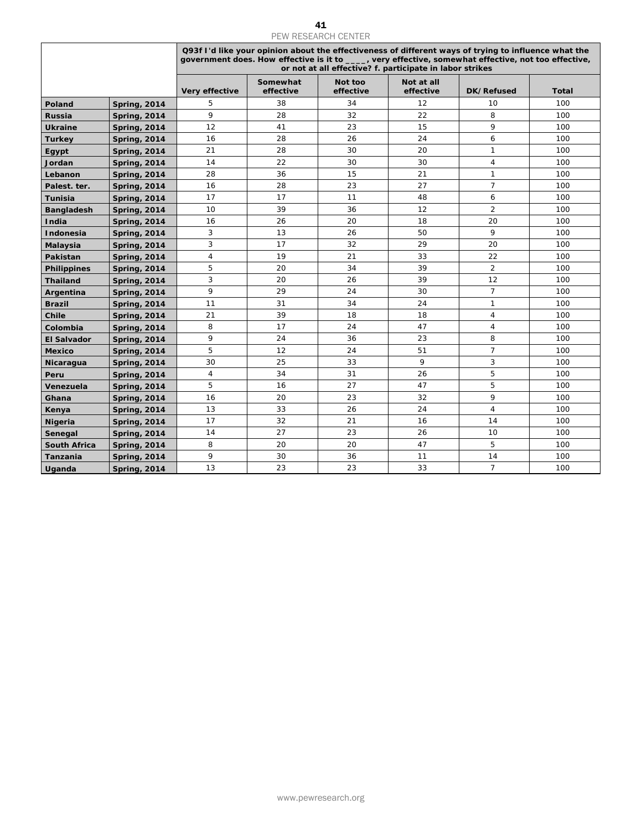|                      |                                            |                                                                                                                                                                                                                                                                          |                       | 41<br><b>PEW RESEARCH CENTER</b> |                         |                      |            |
|----------------------|--------------------------------------------|--------------------------------------------------------------------------------------------------------------------------------------------------------------------------------------------------------------------------------------------------------------------------|-----------------------|----------------------------------|-------------------------|----------------------|------------|
|                      |                                            | Q93f I'd like your opinion about the effectiveness of different ways of trying to influence what the<br>government does. How effective is it to ____, very effective, somewhat effective, not too effective,<br>or not at all effective? f. participate in labor strikes |                       |                                  |                         |                      |            |
|                      |                                            | Very effective                                                                                                                                                                                                                                                           | Somewhat<br>effective | Not too<br>effective             | Not at all<br>effective | DK/Refused           | Total      |
| Poland               | <b>Spring, 2014</b>                        | 5                                                                                                                                                                                                                                                                        | 38                    | 34                               | 12                      | 10                   | 100        |
| Russia               | <b>Spring, 2014</b>                        | 9                                                                                                                                                                                                                                                                        | 28                    | 32                               | 22                      | 8                    | 100        |
| <b>Ukraine</b>       | <b>Spring, 2014</b>                        | 12                                                                                                                                                                                                                                                                       | 41                    | 23                               | 15                      | 9                    | 100        |
| <b>Turkey</b>        | <b>Spring, 2014</b>                        | 16                                                                                                                                                                                                                                                                       | 28                    | 26                               | 24                      | 6                    | 100        |
| Egypt                | <b>Spring, 2014</b>                        | 21                                                                                                                                                                                                                                                                       | 28                    | 30                               | 20                      | $\mathbf{1}$         | 100        |
| Jordan               | <b>Spring, 2014</b>                        | 14                                                                                                                                                                                                                                                                       | 22                    | 30                               | 30                      | 4                    | 100        |
| Lebanon              | <b>Spring, 2014</b>                        | 28                                                                                                                                                                                                                                                                       | 36                    | 15                               | 21                      | $\mathbf{1}$         | 100        |
| Palest. ter.         | <b>Spring, 2014</b>                        | 16                                                                                                                                                                                                                                                                       | 28                    | 23                               | 27                      | $\overline{7}$       | 100        |
| <b>Tunisia</b>       | <b>Spring, 2014</b>                        | 17                                                                                                                                                                                                                                                                       | 17                    | 11                               | 48                      | 6<br>$\overline{2}$  | 100        |
| <b>Bangladesh</b>    | <b>Spring, 2014</b>                        | 10<br>16                                                                                                                                                                                                                                                                 | 39<br>26              | 36<br>20                         | 12<br>18                | 20                   | 100<br>100 |
| India                | <b>Spring, 2014</b>                        | 3                                                                                                                                                                                                                                                                        | 13                    | 26                               | 50                      | 9                    | 100        |
| Indonesia            | <b>Spring, 2014</b>                        | 3                                                                                                                                                                                                                                                                        | 17                    | 32                               | 29                      | 20                   | 100        |
| Malaysia<br>Pakistan | <b>Spring, 2014</b><br><b>Spring, 2014</b> | $\overline{4}$                                                                                                                                                                                                                                                           | 19                    | 21                               | 33                      | 22                   | 100        |
| <b>Philippines</b>   | <b>Spring, 2014</b>                        | 5                                                                                                                                                                                                                                                                        | 20                    | 34                               | 39                      | 2                    | 100        |
| <b>Thailand</b>      | <b>Spring, 2014</b>                        | 3                                                                                                                                                                                                                                                                        | 20                    | 26                               | 39                      | 12                   | 100        |
| Argentina            | <b>Spring, 2014</b>                        | 9                                                                                                                                                                                                                                                                        | 29                    | 24                               | 30                      | $\overline{7}$       | 100        |
| <b>Brazil</b>        | <b>Spring, 2014</b>                        | 11                                                                                                                                                                                                                                                                       | 31                    | 34                               | 24                      | $\mathbf{1}$         | 100        |
| Chile                | <b>Spring, 2014</b>                        | 21                                                                                                                                                                                                                                                                       | 39                    | 18                               | 18                      | $\overline{4}$       | 100        |
| Colombia             | <b>Spring, 2014</b>                        | 8                                                                                                                                                                                                                                                                        | 17                    | 24                               | 47                      | 4                    | 100        |
| El Salvador          | <b>Spring, 2014</b>                        | 9                                                                                                                                                                                                                                                                        | 24                    | 36                               | 23                      | 8                    | 100        |
| <b>Mexico</b>        | <b>Spring, 2014</b>                        | 5                                                                                                                                                                                                                                                                        | 12                    | 24                               | 51                      | $\overline{7}$       | 100        |
| Nicaragua            | <b>Spring, 2014</b>                        | 30                                                                                                                                                                                                                                                                       | 25                    | 33                               | 9                       | 3                    | 100        |
| Peru                 | <b>Spring, 2014</b>                        | 4                                                                                                                                                                                                                                                                        | 34                    | 31                               | 26                      | 5                    | 100        |
| Venezuela            | <b>Spring, 2014</b>                        | 5                                                                                                                                                                                                                                                                        | 16                    | 27                               | 47                      | 5                    | 100        |
| Ghana                | <b>Spring, 2014</b>                        | 16                                                                                                                                                                                                                                                                       | 20                    | 23                               | 32                      | 9                    | 100        |
| Kenya                | <b>Spring, 2014</b>                        | 13                                                                                                                                                                                                                                                                       | 33                    | 26                               | 24                      | $\overline{4}$       | 100        |
| <b>Nigeria</b>       | <b>Spring, 2014</b>                        | 17                                                                                                                                                                                                                                                                       | 32                    | 21                               | 16                      | 14                   | 100        |
| Senegal              | <b>Spring, 2014</b>                        | 14                                                                                                                                                                                                                                                                       | 27                    | 23                               | 26                      | 10                   | 100        |
| <b>South Africa</b>  | <b>Spring, 2014</b>                        | 8                                                                                                                                                                                                                                                                        | 20                    | 20                               | 47                      | 5                    | 100        |
| <b>Tanzania</b>      | <b>Spring, 2014</b>                        | 9<br>13                                                                                                                                                                                                                                                                  | 30<br>23              | 36<br>23                         | 11<br>33                | 14<br>$\overline{7}$ | 100<br>100 |
| Uganda               | <b>Spring, 2014</b>                        |                                                                                                                                                                                                                                                                          |                       |                                  |                         |                      |            |
|                      |                                            |                                                                                                                                                                                                                                                                          |                       |                                  |                         |                      |            |
|                      |                                            |                                                                                                                                                                                                                                                                          |                       | www.pewresearch.org              |                         |                      |            |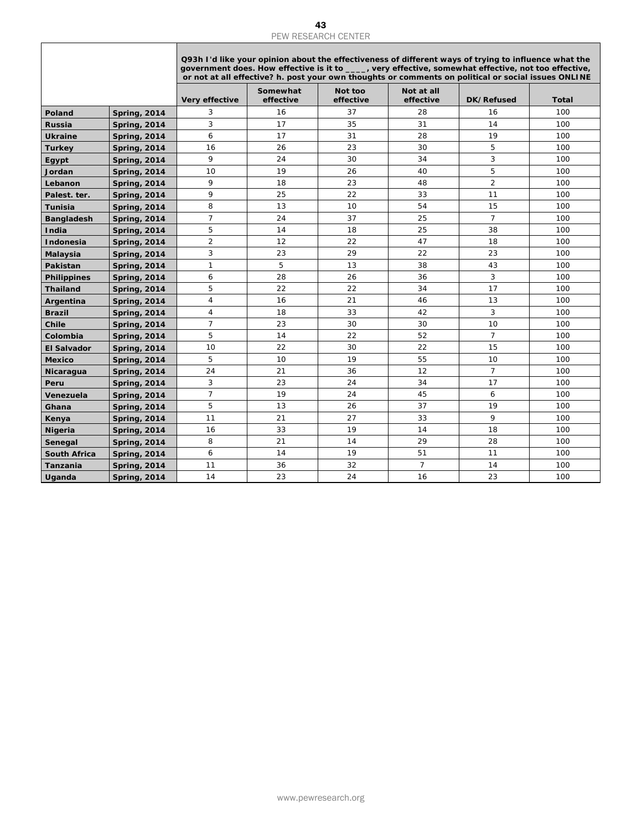| <b>Spring, 2014</b><br><b>Spring, 2014</b><br><b>Spring, 2014</b><br><b>Spring, 2014</b><br><b>Spring, 2014</b><br><b>Spring, 2014</b><br><b>Spring, 2014</b><br><b>Spring, 2014</b><br><b>Spring, 2014</b><br><b>Spring, 2014</b><br><b>Spring, 2014</b><br><b>Spring, 2014</b><br><b>Spring, 2014</b> | Very effective<br>3<br>3<br>6<br>16<br>9<br>10<br>9<br>9<br>8<br>$\overline{7}$ | Somewhat<br>effective<br>16<br>17<br>17<br>26<br>24<br>19<br>18<br>25<br>13 | Not too<br>effective<br>37<br>35<br>31<br>23<br>30<br>26<br>23<br>22 | Not at all<br>effective<br>28<br>31<br>28<br>30<br>34<br>40<br>48 | <b>DK/Refused</b><br>16<br>14<br>19<br>5<br>3<br>5<br>$\overline{2}$ | <b>Total</b><br>100<br>100<br>100<br>100<br>100<br>100 |
|---------------------------------------------------------------------------------------------------------------------------------------------------------------------------------------------------------------------------------------------------------------------------------------------------------|---------------------------------------------------------------------------------|-----------------------------------------------------------------------------|----------------------------------------------------------------------|-------------------------------------------------------------------|----------------------------------------------------------------------|--------------------------------------------------------|
| Poland<br>Russia<br><b>Ukraine</b><br><b>Turkey</b><br>Egypt<br>Jordan<br>Lebanon<br>Palest. ter.<br><b>Tunisia</b><br><b>Bangladesh</b><br>India<br>Indonesia<br>Malaysia                                                                                                                              |                                                                                 |                                                                             |                                                                      |                                                                   |                                                                      |                                                        |
|                                                                                                                                                                                                                                                                                                         |                                                                                 |                                                                             |                                                                      |                                                                   |                                                                      |                                                        |
|                                                                                                                                                                                                                                                                                                         |                                                                                 |                                                                             |                                                                      |                                                                   |                                                                      |                                                        |
|                                                                                                                                                                                                                                                                                                         |                                                                                 |                                                                             |                                                                      |                                                                   |                                                                      |                                                        |
|                                                                                                                                                                                                                                                                                                         |                                                                                 |                                                                             |                                                                      |                                                                   |                                                                      |                                                        |
|                                                                                                                                                                                                                                                                                                         |                                                                                 |                                                                             |                                                                      |                                                                   |                                                                      |                                                        |
|                                                                                                                                                                                                                                                                                                         |                                                                                 |                                                                             |                                                                      |                                                                   |                                                                      |                                                        |
|                                                                                                                                                                                                                                                                                                         |                                                                                 |                                                                             |                                                                      |                                                                   |                                                                      | 100                                                    |
|                                                                                                                                                                                                                                                                                                         |                                                                                 |                                                                             |                                                                      | 33                                                                | 11                                                                   | 100                                                    |
|                                                                                                                                                                                                                                                                                                         |                                                                                 |                                                                             | 10                                                                   | 54                                                                | 15                                                                   | 100                                                    |
|                                                                                                                                                                                                                                                                                                         |                                                                                 | 24                                                                          | 37                                                                   | 25                                                                | $\overline{7}$                                                       | 100                                                    |
|                                                                                                                                                                                                                                                                                                         | 5                                                                               | 14                                                                          | 18                                                                   | 25                                                                | 38                                                                   | 100                                                    |
|                                                                                                                                                                                                                                                                                                         | $\overline{2}$                                                                  | 12                                                                          | 22                                                                   | 47                                                                | 18                                                                   | 100                                                    |
|                                                                                                                                                                                                                                                                                                         | 3                                                                               | 23                                                                          | 29                                                                   | 22                                                                | 23                                                                   | 100                                                    |
| Pakistan<br><b>Spring, 2014</b>                                                                                                                                                                                                                                                                         | $\mathbf{1}$                                                                    | 5                                                                           | 13                                                                   | 38                                                                | 43                                                                   | 100                                                    |
| <b>Philippines</b><br><b>Spring, 2014</b>                                                                                                                                                                                                                                                               | 6                                                                               | 28                                                                          | 26                                                                   | 36                                                                | 3                                                                    | 100                                                    |
| <b>Thailand</b><br><b>Spring, 2014</b>                                                                                                                                                                                                                                                                  | 5                                                                               | 22                                                                          | 22                                                                   | 34                                                                | 17                                                                   | 100                                                    |
| Argentina<br><b>Spring, 2014</b>                                                                                                                                                                                                                                                                        | $\overline{4}$                                                                  | 16                                                                          | 21                                                                   | 46                                                                | 13                                                                   | 100                                                    |
| <b>Brazil</b><br><b>Spring, 2014</b>                                                                                                                                                                                                                                                                    | $\overline{4}$                                                                  | 18                                                                          | 33                                                                   | 42                                                                | 3                                                                    | 100                                                    |
| Chile<br><b>Spring, 2014</b>                                                                                                                                                                                                                                                                            | $\overline{7}$                                                                  | 23                                                                          | 30                                                                   | 30                                                                | 10                                                                   | 100                                                    |
| Colombia<br><b>Spring, 2014</b>                                                                                                                                                                                                                                                                         | 5                                                                               | 14                                                                          | 22                                                                   | 52                                                                | $\overline{7}$                                                       | 100                                                    |
| <b>El Salvador</b><br><b>Spring, 2014</b>                                                                                                                                                                                                                                                               | 10                                                                              | 22                                                                          | 30                                                                   | 22                                                                | 15                                                                   | 100                                                    |
| <b>Mexico</b><br><b>Spring, 2014</b>                                                                                                                                                                                                                                                                    | 5                                                                               | 10                                                                          | 19                                                                   | 55                                                                | 10                                                                   | 100                                                    |
| Nicaragua<br><b>Spring, 2014</b>                                                                                                                                                                                                                                                                        | 24                                                                              | 21                                                                          | 36                                                                   | 12                                                                | $\overline{7}$                                                       | 100                                                    |
| Peru<br><b>Spring, 2014</b>                                                                                                                                                                                                                                                                             | 3                                                                               | 23                                                                          | 24                                                                   | 34                                                                | 17                                                                   | 100                                                    |
| Venezuela<br><b>Spring, 2014</b>                                                                                                                                                                                                                                                                        | $\overline{7}$                                                                  | 19                                                                          | 24                                                                   | 45                                                                | 6                                                                    | 100                                                    |
| Ghana<br><b>Spring, 2014</b>                                                                                                                                                                                                                                                                            | 5                                                                               | 13                                                                          | 26                                                                   | 37                                                                | 19                                                                   | 100                                                    |
| <b>Spring, 2014</b><br>Kenya                                                                                                                                                                                                                                                                            | 11                                                                              | 21                                                                          | 27                                                                   | 33                                                                | 9                                                                    | 100                                                    |
| <b>Nigeria</b><br><b>Spring, 2014</b>                                                                                                                                                                                                                                                                   | 16                                                                              | 33                                                                          | 19                                                                   | 14                                                                | 18                                                                   | 100                                                    |
| Senegal<br><b>Spring, 2014</b>                                                                                                                                                                                                                                                                          | 8                                                                               | 21                                                                          | 14                                                                   | 29                                                                | 28                                                                   | 100                                                    |
| <b>South Africa</b><br><b>Spring, 2014</b>                                                                                                                                                                                                                                                              | 6                                                                               | 14                                                                          | 19                                                                   | 51                                                                | 11                                                                   | 100                                                    |
| Tanzania<br><b>Spring, 2014</b>                                                                                                                                                                                                                                                                         | 11                                                                              | 36                                                                          | 32                                                                   | $\overline{7}$                                                    | 14                                                                   | 100                                                    |
| Uganda<br><b>Spring, 2014</b>                                                                                                                                                                                                                                                                           | 14                                                                              | 23                                                                          | 24                                                                   | 16                                                                | 23                                                                   | 100                                                    |
|                                                                                                                                                                                                                                                                                                         |                                                                                 |                                                                             |                                                                      |                                                                   |                                                                      |                                                        |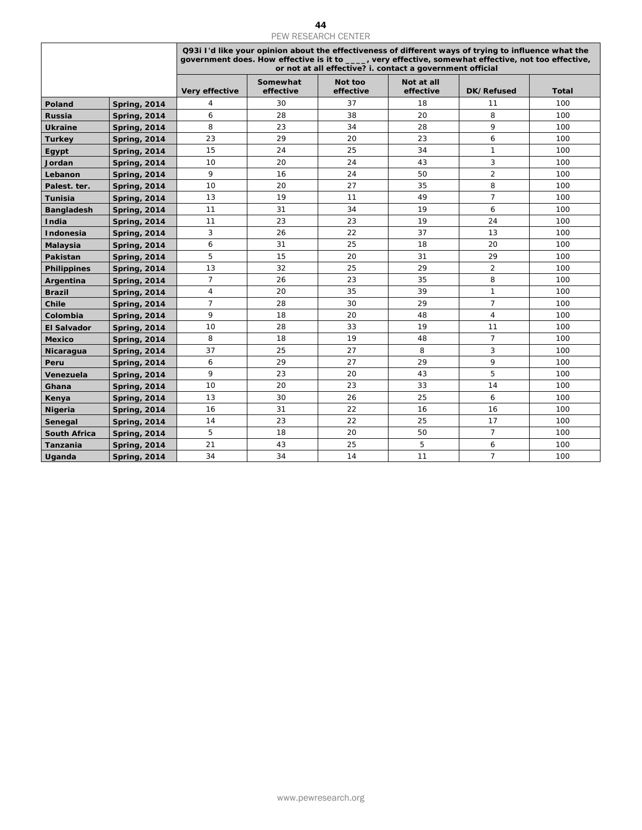|                         |                                            |                |                       | PEW RESEARCH CENTER                                                                                                                                                                                                                                                       |                         |                |              |
|-------------------------|--------------------------------------------|----------------|-----------------------|---------------------------------------------------------------------------------------------------------------------------------------------------------------------------------------------------------------------------------------------------------------------------|-------------------------|----------------|--------------|
|                         |                                            |                |                       | Q93i I'd like your opinion about the effectiveness of different ways of trying to influence what the<br>government does. How effective is it to ____, very effective, somewhat effective, not too effective,<br>or not at all effective? i. contact a government official |                         |                |              |
|                         |                                            | Very effective | Somewhat<br>effective | Not too<br>effective                                                                                                                                                                                                                                                      | Not at all<br>effective | DK/Refused     | <b>Total</b> |
| Poland                  | <b>Spring, 2014</b>                        | 4              | 30                    | 37                                                                                                                                                                                                                                                                        | 18                      | 11             | 100          |
| Russia                  | <b>Spring, 2014</b>                        | 6              | 28                    | 38                                                                                                                                                                                                                                                                        | 20                      | 8              | 100          |
| <b>Ukraine</b>          | <b>Spring, 2014</b>                        | 8              | 23                    | 34                                                                                                                                                                                                                                                                        | 28                      | 9              | 100          |
| <b>Turkey</b>           | <b>Spring, 2014</b>                        | 23             | 29                    | 20                                                                                                                                                                                                                                                                        | 23                      | 6              | 100          |
| Egypt                   | <b>Spring, 2014</b>                        | 15             | 24                    | 25                                                                                                                                                                                                                                                                        | 34                      | $\mathbf{1}$   | 100          |
| Jordan                  | <b>Spring, 2014</b>                        | 10             | 20                    | 24                                                                                                                                                                                                                                                                        | 43                      | $\mathbf{3}$   | 100          |
| Lebanon                 | <b>Spring, 2014</b>                        | 9              | 16                    | 24                                                                                                                                                                                                                                                                        | 50                      | $\overline{c}$ | 100          |
| Palest. ter.            | <b>Spring, 2014</b>                        | 10             | 20                    | 27                                                                                                                                                                                                                                                                        | 35                      | 8              | 100          |
| Tunisia                 | <b>Spring, 2014</b>                        | 13             | 19                    | 11                                                                                                                                                                                                                                                                        | 49                      | $\overline{7}$ | 100          |
| <b>Bangladesh</b>       | <b>Spring, 2014</b>                        | 11             | 31                    | 34                                                                                                                                                                                                                                                                        | 19                      | 6              | 100          |
| India                   | <b>Spring, 2014</b>                        | 11             | 23                    | 23                                                                                                                                                                                                                                                                        | 19                      | 24             | 100          |
| Indonesia               | <b>Spring, 2014</b>                        | $\sqrt{3}$     | 26                    | 22                                                                                                                                                                                                                                                                        | 37                      | 13             | 100          |
| Malaysia                | <b>Spring, 2014</b>                        | 6              | 31                    | 25                                                                                                                                                                                                                                                                        | 18                      | 20             | 100          |
| Pakistan                | <b>Spring, 2014</b>                        | 5              | 15                    | 20                                                                                                                                                                                                                                                                        | 31                      | 29             | 100          |
| <b>Philippines</b>      | <b>Spring, 2014</b>                        | 13             | 32                    | 25                                                                                                                                                                                                                                                                        | 29                      | $\overline{2}$ | 100          |
| Argentina               | <b>Spring, 2014</b>                        | $\overline{7}$ | 26                    | 23                                                                                                                                                                                                                                                                        | 35                      | 8              | 100          |
| <b>Brazil</b>           | <b>Spring, 2014</b>                        | $\sqrt{4}$     | 20                    | 35                                                                                                                                                                                                                                                                        | 39                      | $\mathbf{1}$   | 100          |
| Chile                   | <b>Spring, 2014</b>                        | $\overline{7}$ | 28                    | 30                                                                                                                                                                                                                                                                        | 29                      | $\overline{7}$ | 100          |
| Colombia                | <b>Spring, 2014</b>                        | 9              | 18                    | 20                                                                                                                                                                                                                                                                        | 48                      | $\overline{4}$ | 100          |
| <b>El Salvador</b>      | <b>Spring, 2014</b>                        | 10             | 28                    | 33                                                                                                                                                                                                                                                                        | 19                      | 11             | 100          |
| <b>Mexico</b>           | <b>Spring, 2014</b>                        | 8              | 18                    | 19                                                                                                                                                                                                                                                                        | 48                      | $\overline{7}$ | 100          |
| Nicaragua               | <b>Spring, 2014</b>                        | 37             | 25                    | 27                                                                                                                                                                                                                                                                        | 8                       | 3<br>9         | 100          |
| Peru                    | <b>Spring, 2014</b>                        | 6<br>9         | 29<br>23              | 27<br>20                                                                                                                                                                                                                                                                  | 29<br>43                | $\sqrt{5}$     | 100          |
| Venezuela               | <b>Spring, 2014</b>                        | 10             | 20                    | 23                                                                                                                                                                                                                                                                        | 33                      | 14             | 100<br>100   |
| Ghana                   | <b>Spring, 2014</b><br><b>Spring, 2014</b> | 13             | 30                    | 26                                                                                                                                                                                                                                                                        | 25                      | 6              | 100          |
| Kenya<br><b>Nigeria</b> | <b>Spring, 2014</b>                        | 16             | 31                    | 22                                                                                                                                                                                                                                                                        | 16                      | 16             | 100          |
| Senegal                 | <b>Spring, 2014</b>                        | 14             | 23                    | 22                                                                                                                                                                                                                                                                        | 25                      | 17             | 100          |
| South Africa            | <b>Spring, 2014</b>                        | 5              | 18                    | 20                                                                                                                                                                                                                                                                        | 50                      | $\overline{7}$ | 100          |
| Tanzania                | <b>Spring, 2014</b>                        | 21             | 43                    | 25                                                                                                                                                                                                                                                                        | 5                       | 6              | 100          |
| Uganda                  | <b>Spring, 2014</b>                        | 34             | 34                    | 14                                                                                                                                                                                                                                                                        | 11                      | $\overline{7}$ | 100          |
|                         |                                            |                |                       |                                                                                                                                                                                                                                                                           |                         |                |              |
|                         |                                            |                |                       | www.pewresearch.org                                                                                                                                                                                                                                                       |                         |                |              |
|                         |                                            |                |                       |                                                                                                                                                                                                                                                                           |                         |                |              |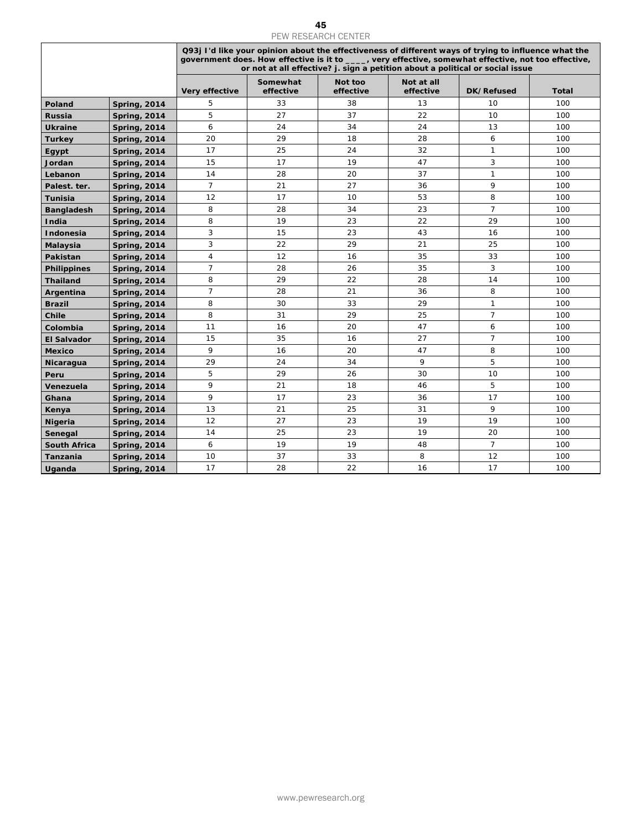|                     |                     |                |                       | PEW RESEARCH CENTER  |                         |                                                                                                                                                                                                                                                                                               |              |
|---------------------|---------------------|----------------|-----------------------|----------------------|-------------------------|-----------------------------------------------------------------------------------------------------------------------------------------------------------------------------------------------------------------------------------------------------------------------------------------------|--------------|
|                     |                     |                |                       |                      |                         | Q93j I'd like your opinion about the effectiveness of different ways of trying to influence what the<br>government does. How effective is it to ____, very effective, somewhat effective, not too effective,<br>or not at all effective? j. sign a petition about a political or social issue |              |
|                     |                     | Very effective | Somewhat<br>effective | Not too<br>effective | Not at all<br>effective | DK/Refused                                                                                                                                                                                                                                                                                    | <b>Total</b> |
| Poland              | <b>Spring, 2014</b> | 5              | 33                    | 38                   | 13                      | 10                                                                                                                                                                                                                                                                                            | 100          |
| Russia              | <b>Spring, 2014</b> | 5              | 27                    | 37                   | 22                      | 10                                                                                                                                                                                                                                                                                            | 100          |
| <b>Ukraine</b>      | <b>Spring, 2014</b> | 6              | 24                    | 34                   | 24                      | 13                                                                                                                                                                                                                                                                                            | 100          |
| <b>Turkey</b>       | <b>Spring, 2014</b> | 20             | 29                    | 18                   | 28                      | 6                                                                                                                                                                                                                                                                                             | 100          |
| Egypt               | <b>Spring, 2014</b> | 17             | 25                    | 24                   | 32                      | $\mathbf{1}$                                                                                                                                                                                                                                                                                  | 100          |
| Jordan              | <b>Spring, 2014</b> | 15             | 17                    | 19                   | 47                      | 3                                                                                                                                                                                                                                                                                             | 100          |
| Lebanon             | <b>Spring, 2014</b> | 14             | 28                    | 20                   | 37                      | $\mathbf{1}$                                                                                                                                                                                                                                                                                  | 100          |
| Palest. ter.        | <b>Spring, 2014</b> | $\overline{7}$ | 21                    | 27                   | 36                      | 9                                                                                                                                                                                                                                                                                             | 100          |
| Tunisia             | <b>Spring, 2014</b> | 12             | 17                    | 10                   | 53                      | 8                                                                                                                                                                                                                                                                                             | 100          |
| <b>Bangladesh</b>   | <b>Spring, 2014</b> | 8              | 28                    | 34                   | 23                      | $\overline{7}$                                                                                                                                                                                                                                                                                | 100          |
| India               | <b>Spring, 2014</b> | 8              | 19                    | 23                   | 22                      | 29                                                                                                                                                                                                                                                                                            | 100          |
| Indonesia           | <b>Spring, 2014</b> | 3              | 15                    | 23                   | 43                      | 16                                                                                                                                                                                                                                                                                            | 100          |
| Malaysia            | <b>Spring, 2014</b> | 3              | 22                    | 29                   | 21                      | 25                                                                                                                                                                                                                                                                                            | 100          |
| Pakistan            | <b>Spring, 2014</b> | 4              | 12                    | 16                   | 35                      | 33                                                                                                                                                                                                                                                                                            | 100          |
| <b>Philippines</b>  | <b>Spring, 2014</b> | 7              | 28                    | 26                   | 35                      | 3                                                                                                                                                                                                                                                                                             | 100          |
| <b>Thailand</b>     | <b>Spring, 2014</b> | 8              | 29                    | 22                   | 28                      | 14                                                                                                                                                                                                                                                                                            | 100          |
| Argentina           | <b>Spring, 2014</b> | $\overline{7}$ | 28                    | 21                   | 36                      | 8                                                                                                                                                                                                                                                                                             | 100          |
| <b>Brazil</b>       | <b>Spring, 2014</b> | 8              | 30                    | 33                   | 29                      | $\mathbf{1}$                                                                                                                                                                                                                                                                                  | 100          |
| Chile               | <b>Spring, 2014</b> | 8              | 31                    | 29                   | 25                      | $\overline{7}$                                                                                                                                                                                                                                                                                | 100          |
| Colombia            | <b>Spring, 2014</b> | 11             | 16                    | 20                   | 47                      | 6                                                                                                                                                                                                                                                                                             | 100          |
| <b>El Salvador</b>  | <b>Spring, 2014</b> | 15             | 35                    | 16                   | 27                      | $\overline{7}$                                                                                                                                                                                                                                                                                | 100          |
| <b>Mexico</b>       | <b>Spring, 2014</b> | 9              | 16                    | 20                   | 47                      | 8                                                                                                                                                                                                                                                                                             | 100          |
| Nicaragua           | <b>Spring, 2014</b> | 29             | 24                    | 34                   | 9                       | 5                                                                                                                                                                                                                                                                                             | 100          |
| Peru                | <b>Spring, 2014</b> | 5              | 29                    | 26                   | 30                      | 10                                                                                                                                                                                                                                                                                            | 100          |
| Venezuela           | <b>Spring, 2014</b> | 9              | 21                    | 18                   | 46                      | 5                                                                                                                                                                                                                                                                                             | 100          |
| Ghana               | <b>Spring, 2014</b> | 9              | 17                    | 23                   | 36                      | 17                                                                                                                                                                                                                                                                                            | 100          |
| Kenya               | <b>Spring, 2014</b> | 13             | 21                    | 25                   | 31                      | 9                                                                                                                                                                                                                                                                                             | 100          |
| <b>Nigeria</b>      | <b>Spring, 2014</b> | 12             | 27                    | 23                   | 19                      | 19                                                                                                                                                                                                                                                                                            | 100          |
| Senegal             | <b>Spring, 2014</b> | 14             | 25                    | 23                   | 19                      | 20                                                                                                                                                                                                                                                                                            | 100          |
| <b>South Africa</b> | <b>Spring, 2014</b> | 6              | 19                    | 19                   | 48                      | $\overline{7}$                                                                                                                                                                                                                                                                                | 100          |
| Tanzania            | <b>Spring, 2014</b> | 10             | 37                    | 33                   | 8                       | 12                                                                                                                                                                                                                                                                                            | 100          |
| Uganda              | <b>Spring, 2014</b> | 17             | 28                    | 22                   | 16                      | 17                                                                                                                                                                                                                                                                                            | 100          |
|                     |                     |                |                       |                      |                         |                                                                                                                                                                                                                                                                                               |              |
|                     |                     |                |                       |                      |                         |                                                                                                                                                                                                                                                                                               |              |
|                     |                     |                |                       | www.pewresearch.org  |                         |                                                                                                                                                                                                                                                                                               |              |